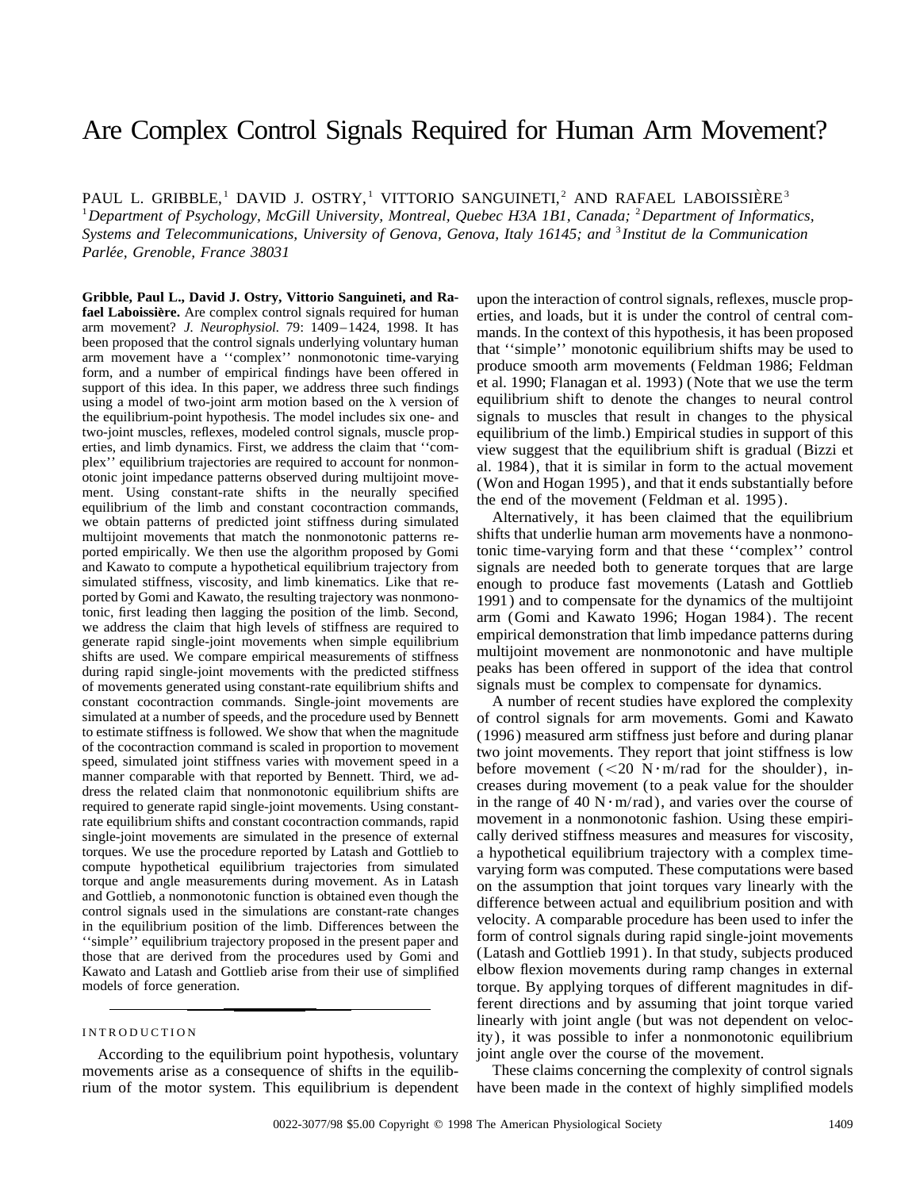## Are Complex Control Signals Required for Human Arm Movement?

PAUL L. GRIBBLE,<sup>1</sup> DAVID J. OSTRY,<sup>1</sup> VITTORIO SANGUINETI,<sup>2</sup> AND RAFAEL LABOISSIÈRE<sup>3</sup> <sup>1</sup>Department of Psychology, McGill University, Montreal, Quebec H3A 1B1, Canada; <sup>2</sup>Department of Informatics, *Systems and Telecommunications, University of Genova, Genova, Italy 16145; and* <sup>3</sup> *Institut de la Communication Parle´e, Grenoble, France 38031*

**Gribble, Paul L., David J. Ostry, Vittorio Sanguineti, and Ra-** upon the interaction of control signals, reflexes, muscle prop-<br>**fael Laboissière.** Are complex control signals required for human erries, and loads, but it **radical Laboissière.** Are complex control signals required for human<br>arm movement? *J. Neurophysiol.* 79: 1409–1424, 1998. It has<br>been proposed that the control signals underlying voluntary human<br>arm movement have a "comp support of this idea. In this paper, we address three such findings et al. 1990; Flanagan et al. 1993) (Note that we use the term<br>using a model of two-joint arm motion based on the  $\lambda$  version of equilibrium shift to den using a model of two-joint arm motion based on the  $\lambda$  version of equilibrium shift to denote the changes to neural control<br>the equilibrium-point hypothesis. The model includes six one- and signals to muscles that result the equilibrium-point hypothesis. The model includes six one- and two-joint muscles, reflexes, modeled control signals, muscle prop-<br>equilibrium of the limb.) Empirical studies in support of this<br>erties, and limb dynamics. First, we address the claim that "com-<br>view suggest that the equi erties, and limb dynamics. First, we address the claim that "com-<br>plex" equilibrium trajectories are required to account for nonmon-<br>otonic joint impedance patterns observed during multijoint move-<br>ment. Using constant-rat we obtain patterns of predicted joint stiffness during simulated<br>multioint movements that match the nonmonotonic patterns re-<br>shifts that underlie human arm movements have a nonmonomultijoint movements that match the nonmonotonic patterns re-<br>ported empirically. We then use the algorithm proposed by Gomi tonic time-varying form and that these "complex" control ported empirically. We then use the algorithm proposed by Gomi and Kawato to compute a hypothetical equilibrium trajectory from signals are needed both to generate torques that are large simulated stiffness, viscosity, and limb kinematics. Like that re-<br>ported by Gomi and Kawato, the resulting trajectory was nonmono-<br>tonic, first leading then lagging the position of the limb. Second,<br>we address the claim t shifts are used. We compare empirical measurements of stiffness indulupoint inoverhent are nonnonouonic and have indulpled during rapid single-joint movements with the predicted stiffness peaks has been offered in support of movements generated using constant-rate equilibrium shifts and signals must be complex to compensate for dynamics. constant cocontraction commands. Single-joint movements are simulated at a number of speeds, and the procedure used by Bennett simulated at a number of speeds, and the procedure used by Bennett of control signals for arm movements. Gomi and Kawato to estimate stiffness is followed. We show that when the magnitude (1996) measured arm stiffness just to estimate stiffness is followed. We show that when the magnitude<br>of the cocontraction command is scaled in proportion to movement<br>of the cocontraction command is scaled in proportion to movement<br>speed, simulated joint s required to generate rapid single-joint movements. Using constant-<br>
in the range of 40  $N \cdot m/r$  and  $\lambda$ , and varies over the course of<br>
rate equilibrium shifts and constant cocontraction commands, rapid movement in a nonm single-joint movements are simulated in the presence of external cally derived stiffness measures and measures for viscosity, torques. We use the procedure reported by Latash and Gottlieb to a hypothetical equilibrium trajectory with a complex time-<br>compute hypothetical equilibrium trajectories from simulated varying form was computed. These comp compute hypothetical equilibrium trajectories from simulated<br>torque and angle measurements during movement. As in Latash<br>and Gottlieb, a nonmonotonic function is obtained even though the<br>control signals used in the simulat "simple" equilibrium trajectory proposed in the present paper and torm of control signals during rapid single-joint movements<br>those that are derived from the procedures used by Gomi and (Latash and Gottlieb 1991). In that Kawato and Latash and Gottlieb arise from their use of simplified elbow flexion movements during ramp changes in external models of force generation. The torque in torque. By applying torques of different magnitudes in dif-

According to the equilibrium point hypothesis, voluntary joint angle over the course of the movement. movements arise as a consequence of shifts in the equilib-<br>These claims concerning the complexity of control signals

ferent directions and by assuming that joint torque varied linearly with joint angle (but was not dependent on veloc-INTRODUCTION ity), it was possible to infer a nonmonotonic equilibrium

rium of the motor system. This equilibrium is dependent have been made in the context of highly simplified models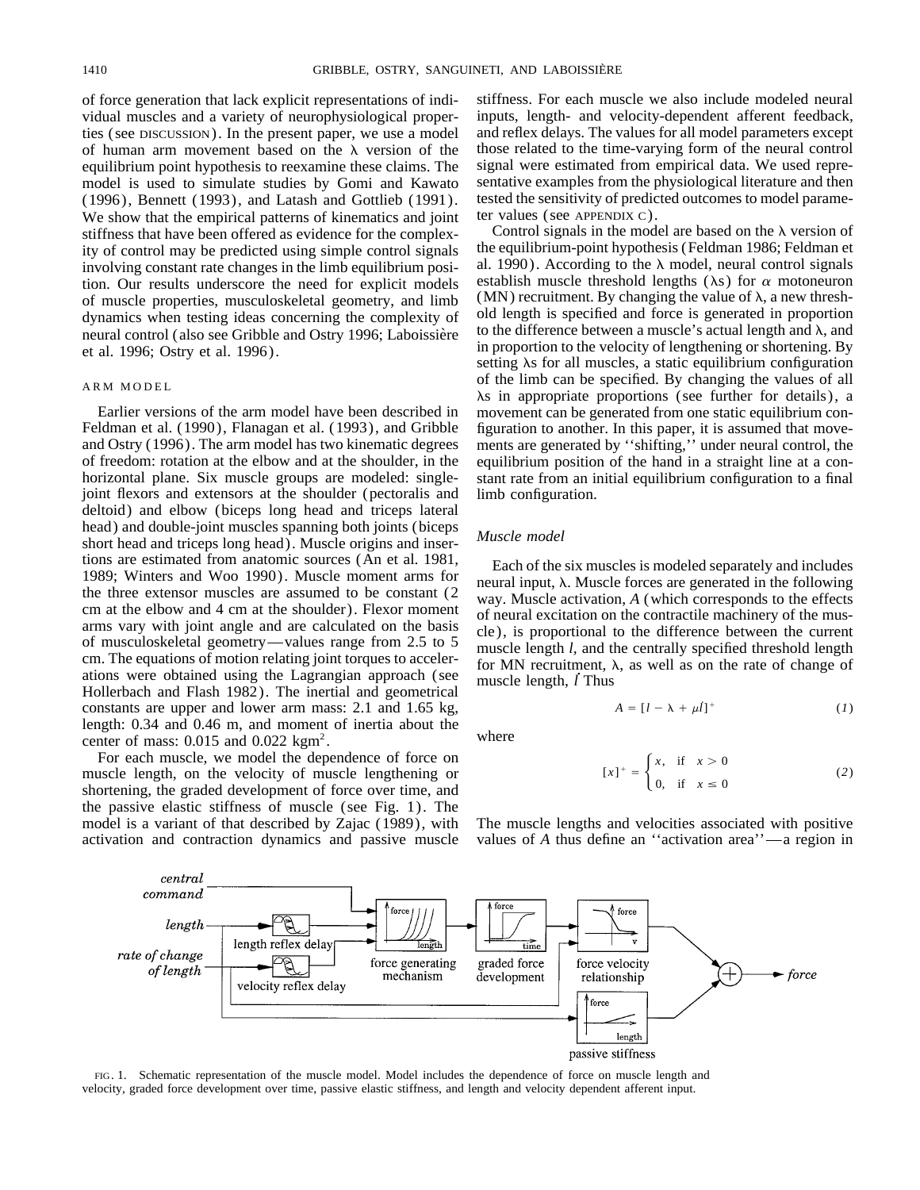vidual muscles and a variety of neurophysiological proper- inputs, length- and velocity-dependent afferent feedback, ties (see DISCUSSION). In the present paper, we use a model and reflex delays. The values for all model parameters except of human arm movement based on the  $\lambda$  version of the those related to the time-varying form of the neural control equilibrium point hypothesis to reexamine these claims. The signal were estimated from empirical data. We used repre-<br>model is used to simulate studies by Gomi and Kawato sentative examples from the physiological literatur model is used to simulate studies by Gomi and Kawato (1996), Bennett (1993), and Latash and Gottlieb (1991). tested the sensitivity of predicted outcomes to model parame-<br>We show that the empirical patterns of kinematics and joint ter values (see APPENDIX C). We show that the empirical patterns of kinematics and joint. stiffness that have been offered as evidence for the complex-<br>Control signals in the model are based on the  $\lambda$  version of ity of control may be predicted using simple control signals the equilibrium-point hypothesis (Feldman 1986; Feldman et involving constant rate changes in the limb equilibrium posi-<br>al. 1990). According to the  $\lambda$  model, tion. Our results underscore the need for explicit models establish muscle threshold lengths ( $\lambda$ s) for  $\alpha$  motoneuron of muscle properties musculoskeletal geometry and limb (MN) recruitment. By changing the value of  $\$ of muscle properties, musculoskeletal geometry, and limb (MN) recruitment. By changing the value of  $\lambda$ , a new thresh-<br>dynamics when testing ideas concerning the complexity of old length is specified and force is generat

Feldman et al. (1990), Flanagan et al. (1993), and Gribble figuration to another. In this paper, it is assumed that move-<br>and Ostry (1996). The arm model has two kinematic degrees ments are generated by "shifting," under n of freedom: rotation at the elbow and at the shoulder, in the equilibrium position of the hand in a straight line at a conhorizontal plane. Six muscle groups are modeled: single-<br>stant rate from an initial equilibrium configuration to a final joint flexors and extensors at the shoulder (pectoralis and limb configuration. deltoid) and elbow (biceps long head and triceps lateral head) and double-joint muscles spanning both joints (biceps *Muscle model* short head and triceps long head). Muscle origins and insertions are estimated from anatomic sources (An et al. 1981,<br>
1989; Winters and Woo 1990). Muscle moment arms for<br>
the three extensor muscles are assumed to be constant (2<br>
constant (2<br>
constant (2<br>
constant (2<br>
constant (2 constants are upper and lower arm mass: 2.1 and 1.65 kg,  $A = [l - \lambda + \mu l]^+$  (*1*) length: 0.34 and 0.46 m, and moment of inertia about the center of mass: 0.015 and 0.022 kgm<sup>2</sup> center of mass:  $0.015$  and  $0.022$  kgm<sup>2</sup>.

For each muscle, we model the dependence of force on muscle length, on the velocity of muscle lengthening or shortening, the graded development of force over time, and the passive elastic stiffness of muscle (see Fig. 1). The model is a variant of that described by Zajac (1989), with The muscle lengths and velocities associated with positive

of force generation that lack explicit representations of indi- stiffness. For each muscle we also include modeled neural

et al. 1996; Ostry et al. 1996). The velocity of lengthening or shortening. By et al. 1996; Ostry et al. 1996). ARM MODEL of the limb can be specified. By changing the values of all  $\lambda$ s in appropriate proportions (see further for details), a Earlier versions of the arm model have been described in movement can be generated from one static equilibrium con-<br>Feldman et al. (1990), Flanagan et al. (1993), and Gribble figuration to another. In this paper, it is ass ments are generated by "shifting," under neural control, the

$$
A = [l - \lambda + \mu l]^+ \tag{1}
$$

$$
[x]^{+} = \begin{cases} x, & \text{if } x > 0 \\ 0, & \text{if } x \le 0 \end{cases}
$$
 (2)

activation and contraction dynamics and passive muscle values of *A* thus define an ''activation area''—a region in



FIG. 1. Schematic representation of the muscle model. Model includes the dependence of force on muscle length and velocity, graded force development over time, passive elastic stiffness, and length and velocity dependent afferent input.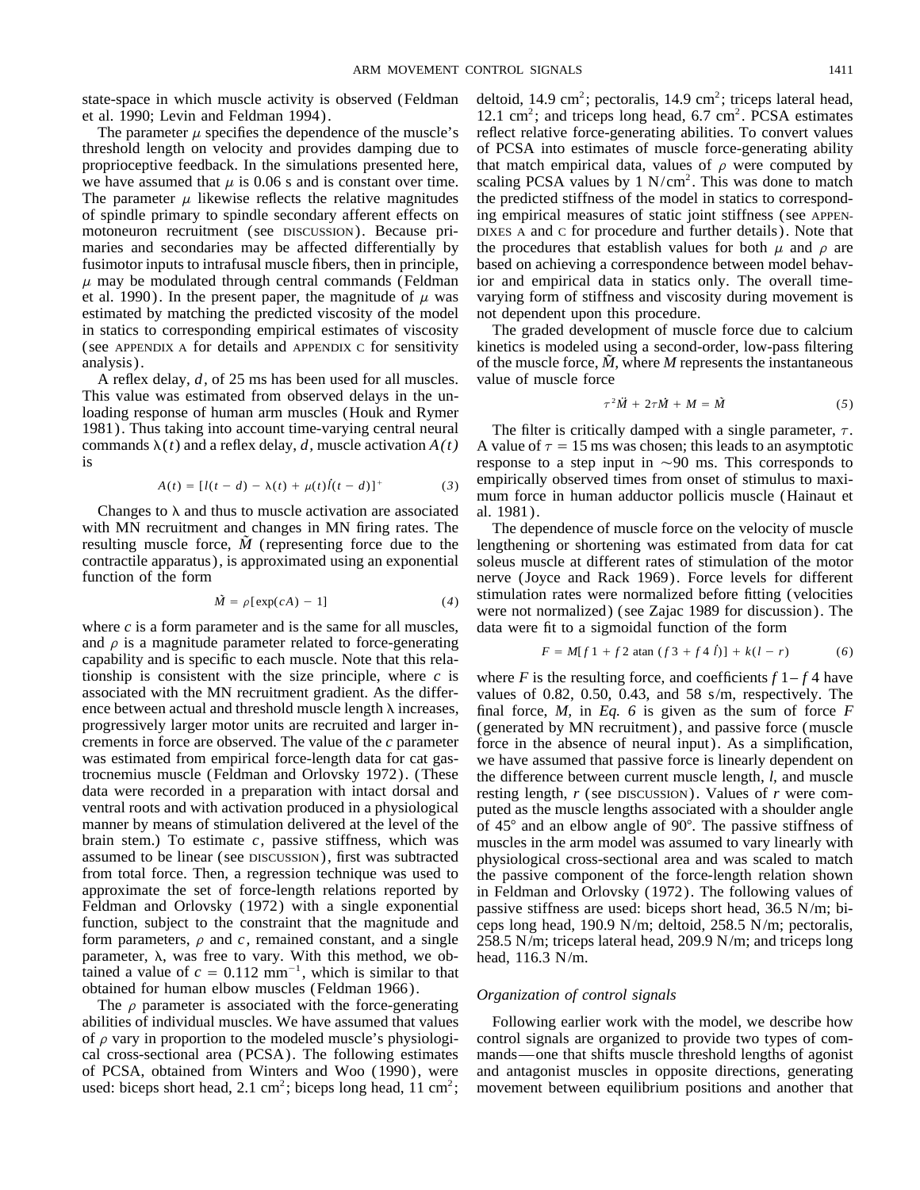state-space in which muscle activity is observed (Feldman

threshold length on velocity and provides damping due to of PCSA into estimates of muscle force-generating ability proprioceptive feedback. In the simulations presented here, that match empirical data, values of  $\rho$  were computed by we have assumed that  $\mu$  is 0.06 s and is constant over time. . scaling PCSA values by 1 N/cm<sup>2</sup>. This was done to match The parameter  $\mu$  likewise reflects the relative magnitudes the predicted stiffness of the model in statics to correspondof spindle primary to spindle secondary afferent effects on ing empirical measures of static joint stiffness (see APPENmotoneuron recruitment (see DISCUSSION). Because pri- DIXES A and C for procedure and further details). Note that maries and secondaries may be affected differentially by the procedures that establish values for both  $\mu$  and  $\rho$  are fusimotor inputs to intrafusal muscle fibers, then in principle, based on achieving a correspondence between model behav- $\mu$  may be modulated through central commands (Feldman ior and empirical data in statics only. The overall timeet al. 1990). In the present paper, the magnitude of  $\mu$  was varying form of stiffness and viscosity during movement is estimated by matching the predicted viscosity of the model not dependent upon this procedure. in statics to corresponding empirical estimates of viscosity The graded development of muscle force due to calcium (see APPENDIX A for details and APPENDIX C for sensitivity kinetics is modeled using a second-order, low-pass filtering

A reflex delay, *d,* of 25 ms has been used for all muscles. value of muscle force This value was estimated from observed delays in the un-*<sup>M</sup>*<sup>E</sup> / <sup>2</sup>t*M*<sup>g</sup> / *<sup>M</sup>* <sup>Å</sup> *<sup>M</sup>*<sup>H</sup> (*5*) loading response of human arm muscles (Houk and Rymer 1981). Thus taking into account time-varying central neural The filter is critically damped with a single parameter,  $\tau$ .

$$
A(t) = [l(t - d) - \lambda(t) + \mu(t)\dot{l}(t - d)]^{+}
$$
 (3)

Changes to  $\lambda$  and thus to muscle activation are associated al. 1981). with MN recruitment and changes in MN firing rates. The The dependence of muscle force on the velocity of muscle resulting muscle force, *M˜* (representing force due to the lengthening or shortening was estimated from data for cat contractile apparatus), is approximated using an exponential soleus muscle at different rates of stimulation of the motor function of the form nerve (Joyce and Rack 1969). Force levels for different

$$
\tilde{M} = \rho \left[ \exp(cA) - 1 \right] \tag{4}
$$

where *c* is a form parameter and is the same for all muscles, data were fit to a sigmoidal function of the form and  $\rho$  is a magnitude parameter related to force-generating capability and is specific to each muscle. Note that this relationship is consistent with the size principle, where *c* is where *F* is the resulting force, and coefficients  $f \frac{1-f4}{1-f4}$  have associated with the MN recruitment gradient. As the differ-values of 0.82, 0.50, 0.43, an associated with the MN recruitment gradient. As the differ-<br>ence between actual and threshold muscle length  $\lambda$  increases, final force, M, in Eq. 6 is given as the sum of force F ence between actual and threshold muscle length  $\lambda$  increases, final force, *M*, in *Eq. 6* is given as the sum of force *F* progressively larger motor units are recruited and larger in-<br>(generated by MN recruitment), an progressively larger motor units are recruited and larger in-<br>crements in force are observed. The value of the c parameter force in the absence of neural input). As a simplification, was estimated from empirical force-length data for cat gas-<br>trocnemius muscle (Feldman and Orlovsky 1972). (These the difference between current muscle length, *l*, and muscle data were recorded in a preparation with intact dorsal and resting length, *r* (see DISCUSSION). Values of *r* were com-<br>ventral roots and with activation produced in a physiological puted as the muscle lengths associated manner by means of stimulation delivered at the level of the of  $45^{\circ}$  and an elbow angle of 90°. The passive stiffness of brain stem.) To estimate c, passive stiffness, which was muscles in the arm model was assumed to assumed to be linear (see DISCUSSION), first was subtracted physiological cross-sectional area and was scaled to match from total force. Then, a regression technique was used to the passive component of the force-length relation shown approximate the set of force-length relations reported by in Feldman and Orlovsky (1972). The following va approximate the set of force-length relations reported by in Feldman and Orlovsky (1972). The following values of Feldman and Orlovsky (1972) with a single exponential passive stiffness are used: biceps short head, 36.5 N Feldman and Orlovsky (1972) with a single exponential passive stiffness are used: biceps short head, 36.5 N/m; bi-<br>function, subject to the constraint that the magnitude and ceps long head, 190.9 N/m; deltoid, 258.5 N/m; p function, subject to the constraint that the magnitude and ceps long head, 190.9 N/m; deltoid, 258.5 N/m; pectoralis, form parameters,  $\rho$  and c, remained constant, and a single 258.5 N/m; triceps lateral head. 209.9 N/m parameter,  $\lambda$ , was free to vary. With this method, we ob- head, 116.3 N/m. tained a value of  $c = 0.112$  mm<sup>-1</sup>, which is similar to that

obtained for human elbow muscles (Feldman 1966). *Organization of control signals* The  $\rho$  parameter is associated with the force-generating abilities of individual muscles. We have assumed that values Following earlier work with the model, we describe how of  $\rho$  vary in proportion to the modeled muscle's physiologi- control signals are organized to provide two types of comcal cross-sectional area (PCSA). The following estimates mands—one that shifts muscle threshold lengths of agonist of PCSA, obtained from Winters and Woo (1990), were and antagonist muscles in opposite directions, generating used: biceps short head,  $2.1 \text{ cm}^2$ ; biceps long head,  $11 \text{ cm}^2$ 

; pectoralis, 14.9 cm<sup>2</sup>; triceps lateral head, et al. 1990; Levin and Feldman 1994).  $12.1 \text{ cm}^2$ ; and triceps long head, 6.7 cm<sup>2</sup>. PCSA estimates The parameter  $\mu$  specifies the dependence of the muscle's reflect relative force-generating abilities. To convert values

analysis).  $\Box$  of the muscle force, *M*, where *M* represents the instantaneous

$$
\tau^2 \ddot{M} + 2\tau \dot{M} + M = \tilde{M} \tag{5}
$$

commands  $\lambda(t)$  and a reflex delay, *d*, muscle activation  $A(t)$  A value of  $\tau = 15$  ms was chosen; this leads to an asymptotic is response to a step input in  $\sim 90$  ms. This corresponds to empirically observed times from onset of stimulus to maximum force in human adductor pollicis muscle (Hainaut et

stimulation rates were normalized before fitting (velocities were not normalized) (see Zajac 1989 for discussion). The

$$
F = M[f 1 + f 2 \text{ atan } (f 3 + f 4 l)] + k(l - r) \tag{6}
$$

force in the absence of neural input). As a simplification, the difference between current muscle length, *l*, and muscle puted as the muscle lengths associated with a shoulder angle muscles in the arm model was assumed to vary linearly with 258.5 N/m; triceps lateral head, 209.9 N/m; and triceps long

movement between equilibrium positions and another that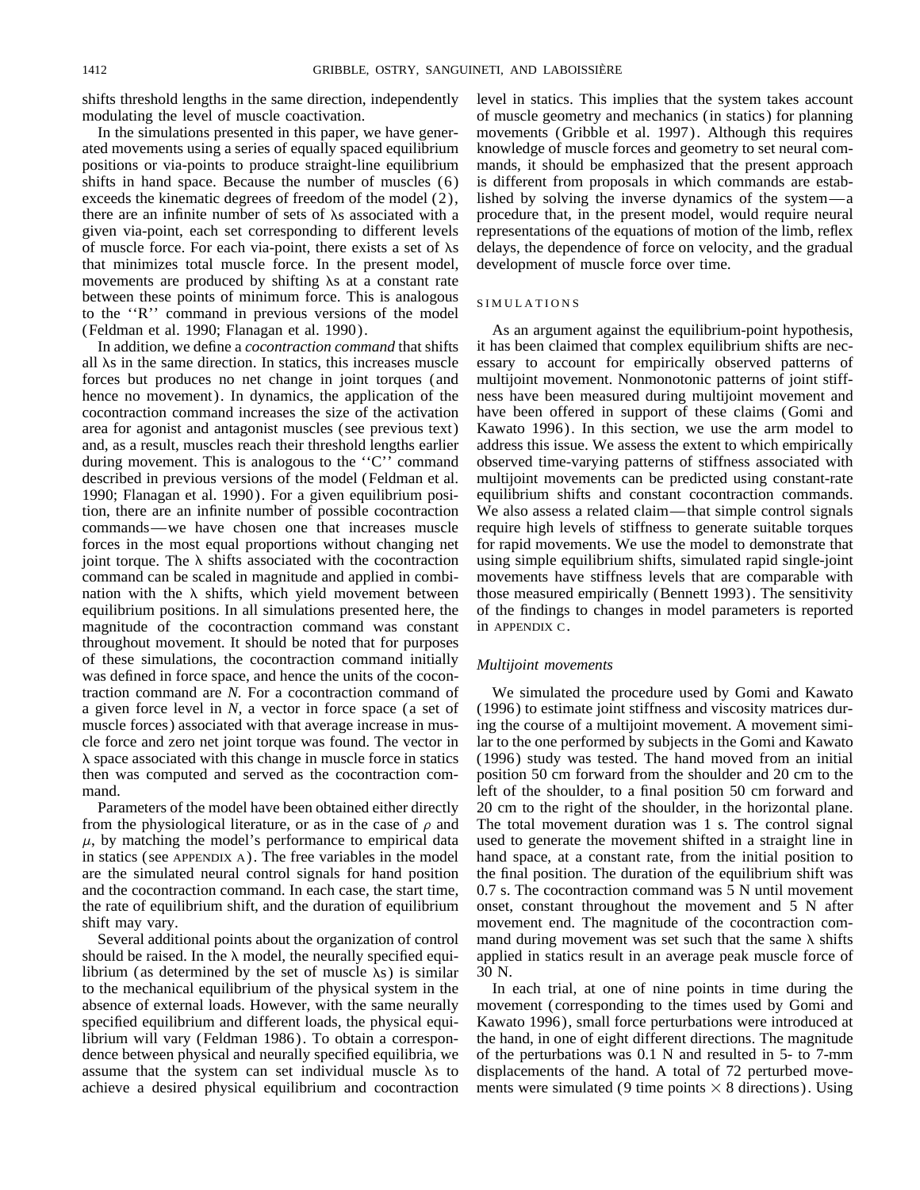ated movements using a series of equally spaced equilibrium knowledge of muscle forces and geometry to set neural compositions or via-points to produce straight-line equilibrium mands, it should be emphasized that the present approach shifts in hand space. Because the number of muscles (6) is different from proposals in which commands are estabexceeds the kinematic degrees of freedom of the model (2), lished by solving the inverse dynamics of the system—a there are an infinite number of sets of  $\lambda$ s associated with a procedure that, in the present model, would require neural given via-point, each set corresponding to different levels representations of the equations of motion of the limb, reflex of muscle force. For each via-point, there exists a set of  $\lambda$ s delays, the dependence of force on velocity, and the gradual that minimizes total muscle force. In the present model, development of muscle force over time. movements are produced by shifting  $\lambda s$  at a constant rate between these points of minimum force. This is analogous SIMULATIONS to the ''R'' command in previous versions of the model (Feldman et al. 1990; Flanagan et al. 1990). As an argument against the equilibrium-point hypothesis,

all  $\lambda$ s in the same direction. In statics, this increases muscle essary to account for empirically observed patterns of forces but produces no net change in joint torques (and multijoint movement. Nonmonotonic patterns of joint stiffhence no movement). In dynamics, the application of the ness have been measured during multijoint movement and cocontraction command increases the size of the activation have been offered in support of these claims (Gomi and area for agonist and antagonist muscles (see previous text) Kawato 1996). In this section, we use the arm model to and, as a result, muscles reach their threshold lengths earlier address this issue. We assess the extent to which empirically during movement. This is analogous to the "C" command observed time-varying patterns of stiffness associated with described in previous versions of the model (Feldman et al. multijoint movements can be predicted using constant-rate 1990; Flanagan et al. 1990). For a given equilibrium posi- equilibrium shifts and constant cocontraction commands. tion, there are an infinite number of possible cocontraction We also assess a related claim—that simple control signals commands—we have chosen one that increases muscle require high levels of stiffness to generate suitable torques forces in the most equal proportions without changing net for rapid movements. We use the model to demonstrate that joint torque. The  $\lambda$  shifts associated with the cocontraction using simple equilibrium shifts, simulated rapid single-joint command can be scaled in magnitude and applied in combi- movements have stiffness levels that are comparable with nation with the  $\lambda$  shifts, which yield movement between those measured empirically (Bennett 1993). The sensitivity equilibrium positions. In all simulations presented here, the of the findings to changes in model parameters is reported magnitude of the cocontraction command was constant in APPENDIX C. throughout movement. It should be noted that for purposes of these simulations, the cocontraction command initially *Multijoint movements* was defined in force space, and hence the units of the cocontraction command are *N.* For a cocontraction command of We simulated the procedure used by Gomi and Kawato a given force level in *N*, a vector in force space (a set of (1996) to estimate joint stiffness and viscosity matrices durmuscle forces) associated with that average increase in mus- ing the course of a multijoint movement. A movement simithen was computed and served as the cocontraction com- position 50 cm forward from the shoulder and 20 cm to the

librium (as determined by the set of muscle  $\lambda$ s) is similar 30 N. to the mechanical equilibrium of the physical system in the In each trial, at one of nine points in time during the achieve a desired physical equilibrium and cocontraction ments were simulated (9 time points  $\times$  8 directions). Using

shifts threshold lengths in the same direction, independently level in statics. This implies that the system takes account modulating the level of muscle coactivation. of muscle geometry and mechanics (in statics) for plan of muscle geometry and mechanics (in statics) for planning In the simulations presented in this paper, we have gener- movements (Gribble et al. 1997). Although this requires

In addition, we define a *cocontraction command* that shifts it has been claimed that complex equilibrium shifts are nec-

cle force and zero net joint torque was found. The vector in lar to the one performed by subjects in the Gomi and Kawato  $\lambda$  space associated with this change in muscle force in statics (1996) study was tested. The hand moved from an initial mand. **left of the shoulder, to a final position 50 cm forward and** Parameters of the model have been obtained either directly 20 cm to the right of the shoulder, in the horizontal plane. from the physiological literature, or as in the case of  $\rho$  and The total movement duration was 1 s. The control signal  $\mu$ , by matching the model's performance to empirical data used to generate the movement shifted in a straight line in in statics (see APPENDIX A). The free variables in the model hand space, at a constant rate, from the initial position to are the simulated neural control signals for hand position the final position. The duration of the equilibrium shift was and the cocontraction command. In each case, the start time, 0.7 s. The cocontraction command was 5 N until movement the rate of equilibrium shift, and the duration of equilibrium onset, constant throughout the movement and 5 N after shift may vary. The magnitude of the cocontraction com-Several additional points about the organization of control mand during movement was set such that the same  $\lambda$  shifts should be raised. In the  $\lambda$  model, the neurally specified equi- applied in statics result in an average peak muscle force of

absence of external loads. However, with the same neurally movement (corresponding to the times used by Gomi and specified equilibrium and different loads, the physical equi- Kawato 1996), small force perturbations were introduced at librium will vary (Feldman 1986). To obtain a correspon- the hand, in one of eight different directions. The magnitude dence between physical and neurally specified equilibria, we of the perturbations was 0.1 N and resulted in 5- to 7-mm assume that the system can set individual muscle  $\lambda s$  to displacements of the hand. A total of 72 perturbed move-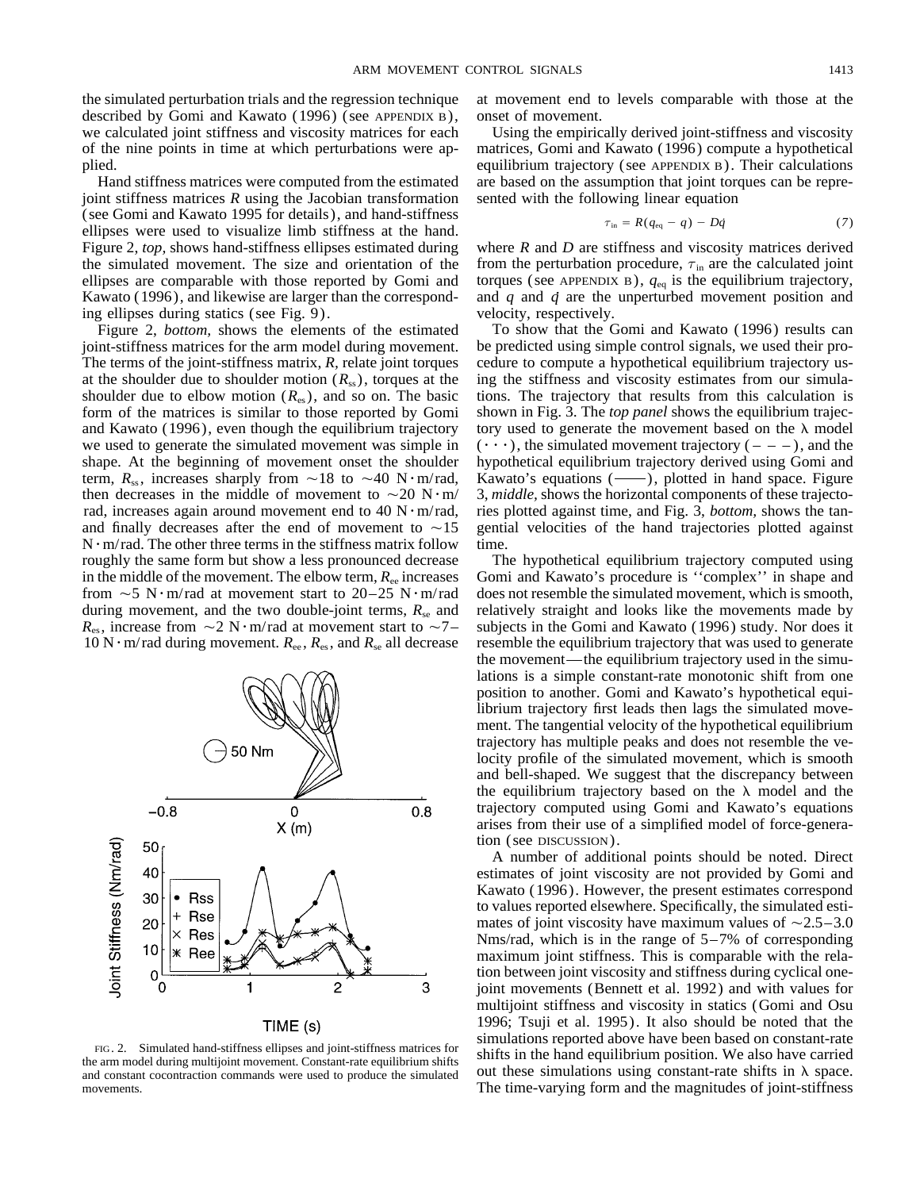described by Gomi and Kawato (1996) (see APPENDIX B), onset of movement. we calculated joint stiffness and viscosity matrices for each Using the empirically derived joint-stiffness and viscosity of the nine points in time at which perturbations were ap- matrices, Gomi and Kawato (1996) compute a hypothetical plied. **Example 2.** equilibrium trajectory (see APPENDIX B). Their calculations

joint stiffness matrices *R* using the Jacobian transformation sented with the following linear equation (see Gomi and Kawato 1995 for details), and hand-stiffness ellipses were used to visualize limb stiffness at the hand. Figure 2, *top,* shows hand-stiffness ellipses estimated during where *R* and *D* are stiffness and viscosity matrices derived ing ellipses during statics (see Fig. 9). velocity, respectively.

joint-stiffness matrices for the arm model during movement. be predicted using simple control signals, we used their pro-The terms of the joint-stiffness matrix, *R*, relate joint torques cedure to compute a hypothetical equilibrium trajectory usat the shoulder due to shoulder motion ( $R_{ss}$ ), torques at the ing the stiffness and viscosity estimates from our simula-<br>shoulder due to elbow motion ( $R_{ss}$ ), and so on. The basic tions. The trajectory that results fro shoulder due to elbow motion  $(R_{\rm es})$ , and so on. The basic form of the matrices is similar to those reported by Gomi shown in Fig. 3. The *top panel* shows the equilibrium trajecand Kawato (1996), even though the equilibrium trajectory tory used to generate the movement based on the  $\lambda$  model we used to generate the simulated movement was simple in  $(\cdots)$ , the simulated movement trajectory ( $-$  – ), and the shape. At the beginning of movement onset the shoulder hypothetical equilibrium trajectory derived using Gomi and term,  $R_{ss}$ , increases sharply from  $\sim$ 18 to  $\sim$ 40 N·m/rad, Kawato's equations (——), plotted in hand space. Figure then decreases in the middle of movement to  $\sim 20 \text{ N}\cdot\text{m}$  3, *middle*, shows the horizontal components of these trajectorad, increases again around movement end to  $40 \text{ N} \cdot \text{m/rad}$ , ries plotted against time, and Fig. 3, *bottom*, shows the tanand finally decreases after the end of movement to  $\sim$ 15 gential velocities of the hand trajectories plotted against  $N \cdot m/r$  and. The other three terms in the stiffness matrix follow time. roughly the same form but show a less pronounced decrease The hypothetical equilibrium trajectory computed using in the middle of the movement. The elbow term,  $R_{ee}$  increases Gomi and Kawato's procedure is "complex" in shape and from  $\sim$  5 N·m/rad at movement start to 20–25 N·m/rad does not resemble the simulated movement, which is smooth, during movement, and the two double-joint terms,  $R_{\rm se}$  and relatively straight and looks like the movements made by  $R_{\rm es}$ , increase from  $\sim$ 2 N·m/rad at movement start to  $\sim$ 7- subjects in the Gomi and Kawato (199 10 N·m/rad during movement.  $R_{ee}$ ,  $R_{es}$ , and  $R_{se}$  all decrease



the simulated perturbation trials and the regression technique at movement end to levels comparable with those at the

Hand stiffness matrices were computed from the estimated are based on the assumption that joint torques can be repre-

$$
\tau_{\text{in}} = R(q_{\text{eq}} - q) - D\dot{q} \tag{7}
$$

the simulated movement. The size and orientation of the from the perturbation procedure,  $\tau_{in}$  are the calculated joint ellipses are comparable with those reported by Gomi and torques (see APPENDIX B),  $q_{eq}$  is the equilibrium trajectory, Kawato (1996), and likewise are larger than the correspond- and  $q$  and  $\dot{q}$  are the unperturbed movement position and

Figure 2, *bottom*, shows the elements of the estimated To show that the Gomi and Kawato (1996) results can

*R* subjects in the Gomi and Kawato (1996) study. Nor does it resemble the equilibrium trajectory that was used to generate the movement—the equilibrium trajectory used in the simulations is a simple constant-rate monotonic shift from one position to another. Gomi and Kawato's hypothetical equilibrium trajectory first leads then lags the simulated movement. The tangential velocity of the hypothetical equilibrium trajectory has multiple peaks and does not resemble the velocity profile of the simulated movement, which is smooth and bell-shaped. We suggest that the discrepancy between the equilibrium trajectory based on the  $\lambda$  model and the trajectory computed using Gomi and Kawato's equations arises from their use of a simplified model of force-generation (see DISCUSSION).

A number of additional points should be noted. Direct estimates of joint viscosity are not provided by Gomi and Kawato (1996). However, the present estimates correspond to values reported elsewhere. Specifically, the simulated estimates of joint viscosity have maximum values of  $\sim 2.5-3.0$ Nms/rad, which is in the range of 5–7% of corresponding maximum joint stiffness. This is comparable with the relation between joint viscosity and stiffness during cyclical onejoint movements (Bennett et al. 1992) and with values for multijoint stiffness and viscosity in statics (Gomi and Osu 1996; Tsuji et al. 1995). It also should be noted that the **TIME (s)**<br>FIG. 2. Simulated hand-stiffness ellipses and joint-stiffness matrices for<br>the arm model during multijoint movement. Constant-rate equilibrium shifts<br>and constant rate simulations in the hand equilibrium positi movements. The time-varying form and the magnitudes of joint-stiffness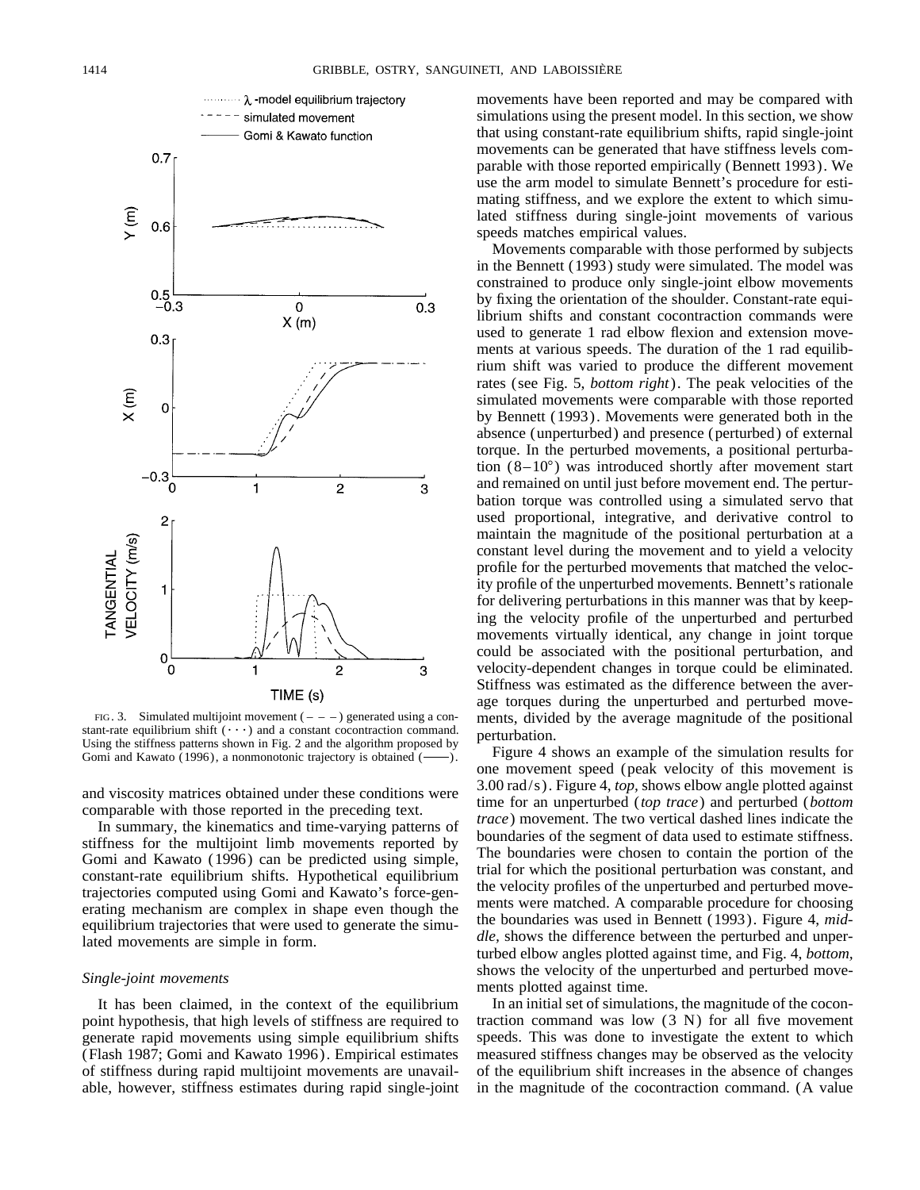

FIG. 3. Simulated multijoint movement  $(- - -)$  generated using a con-<br>stant-rate equilibrium shift  $(\cdot \cdot)$  and a constant cocontraction command.<br>Using the stiffness patterns shown in Fig. 2 and the algorithm proposed by<br> $\cdot$ Gomi and Kawato (1996), a nonmonotonic trajectory is obtained  $($ — $)$ . Figure 4 shows an example of the simulation results for

movements have been reported and may be compared with simulations using the present model. In this section, we show that using constant-rate equilibrium shifts, rapid single-joint movements can be generated that have stiffness levels comparable with those reported empirically (Bennett 1993). We use the arm model to simulate Bennett's procedure for estimating stiffness, and we explore the extent to which simulated stiffness during single-joint movements of various speeds matches empirical values.

Movements comparable with those performed by subjects in the Bennett (1993) study were simulated. The model was constrained to produce only single-joint elbow movements by fixing the orientation of the shoulder. Constant-rate equilibrium shifts and constant cocontraction commands were used to generate 1 rad elbow flexion and extension movements at various speeds. The duration of the 1 rad equilibrium shift was varied to produce the different movement rates (see Fig. 5, *bottom right*). The peak velocities of the simulated movements were comparable with those reported by Bennett (1993). Movements were generated both in the absence (unperturbed) and presence (perturbed) of external torque. In the perturbed movements, a positional perturbation  $(8-10^{\circ})$  was introduced shortly after movement start and remained on until just before movement end. The perturbation torque was controlled using a simulated servo that used proportional, integrative, and derivative control to maintain the magnitude of the positional perturbation at a constant level during the movement and to yield a velocity profile for the perturbed movements that matched the velocity profile of the unperturbed movements. Bennett's rationale for delivering perturbations in this manner was that by keeping the velocity profile of the unperturbed and perturbed movements virtually identical, any change in joint torque could be associated with the positional perturbation, and velocity-dependent changes in torque could be eliminated. Stiffness was estimated as the difference between the average torques during the unperturbed and perturbed move-

one movement speed (peak velocity of this movement is and viscosity matrices obtained under these conditions were  $\frac{3.00 \text{ rad/s}}{1}$ . Figure 4, *top*, shows elbow angle plotted against<br>comparable with those reported in the preceding text.<br>In summary, the kinematics and time-Single-joint movements<br>Single-joint movements<br>ments plotted against time.

It has been claimed, in the context of the equilibrium In an initial set of simulations, the magnitude of the coconpoint hypothesis, that high levels of stiffness are required to traction command was low (3 N) for all five movement generate rapid movements using simple equilibrium shifts speeds. This was done to investigate the extent to which (Flash 1987; Gomi and Kawato 1996). Empirical estimates measured stiffness changes may be observed as the velocity of stiffness during rapid multijoint movements are unavail- of the equilibrium shift increases in the absence of changes able, however, stiffness estimates during rapid single-joint in the magnitude of the cocontraction command. (A value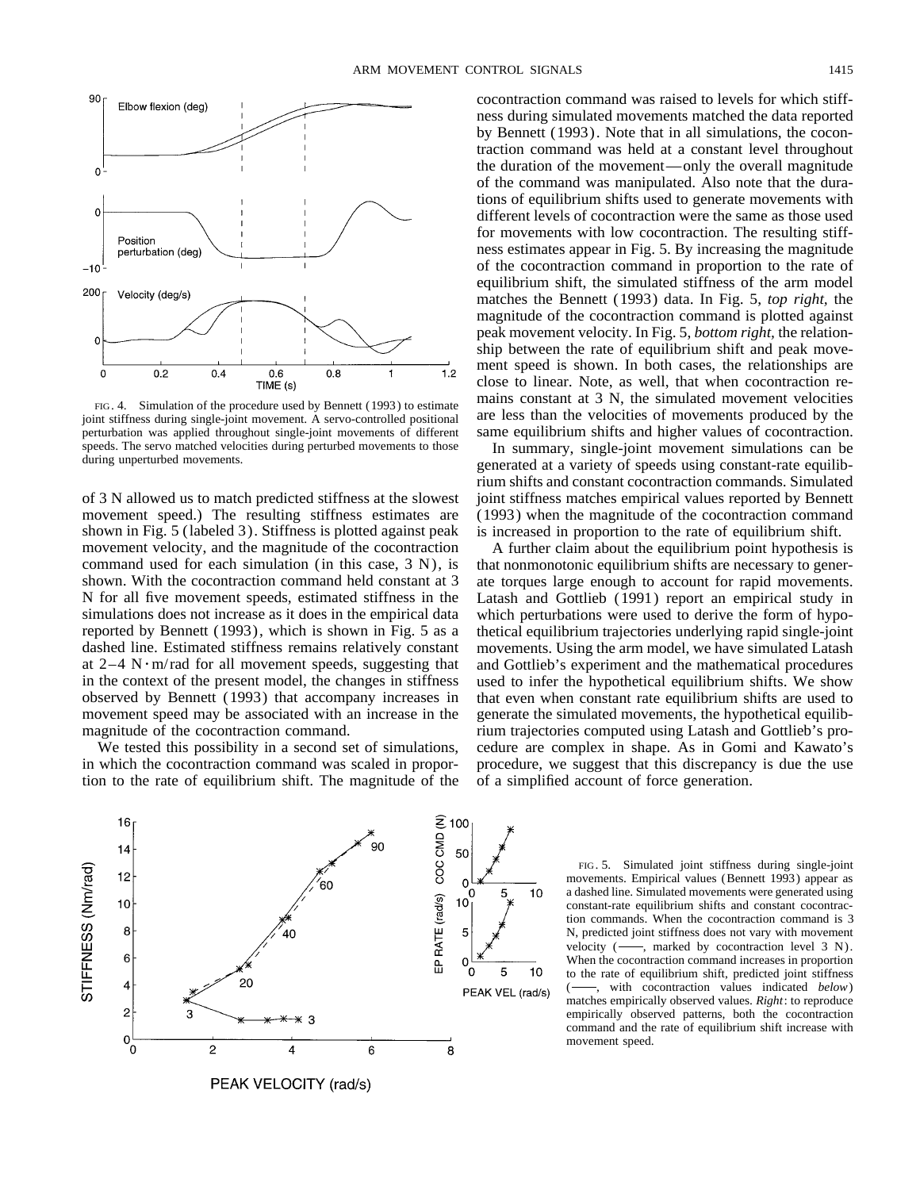

joint stiffness during single-joint movement. A servo-controlled positional are less than the velocities of movements produced by the perturbation was applied throughout single-joint movements of different same equilibrium shifts and higher values of cocontraction.<br>speeds. The servo matched velocities during perturbed movements to those In summary, singl

movement speed.) The resulting stiffness estimates are (1993) when the magnitude of the cocontraction command shown in Fig. 5 (labeled 3). Stiffness is plotted against peak is increased in proportion to the rate of equilibrium shift. movement velocity, and the magnitude of the cocontraction A further claim about the equilibrium point hypothesis is command used for each simulation (in this case,  $3 \text{ N}$ ), is that nonmonotonic equilibrium shifts are necessary to genershown. With the cocontraction command held constant at 3 ate torques large enough to account for rapid movements. N for all five movement speeds, estimated stiffness in the Latash and Gottlieb (1991) report an empirical study in simulations does not increase as it does in the empirical data which perturbations were used to derive the form of hyporeported by Bennett (1993), which is shown in Fig. 5 as a thetical equilibrium trajectories underlying rapid single-joint dashed line. Estimated stiffness remains relatively constant movements. Using the arm model, we have simulated Latash at  $2-4$  N $\cdot$ m/rad for all movement speeds, suggesting that and Gottlieb's experiment and the mathematical procedures in the context of the present model, the changes in stiffness used to infer the hypothetical equilibrium shifts. We show observed by Bennett (1993) that accompany increases in that even when constant rate equilibrium shifts are used to movement speed may be associated with an increase in the generate the simulated movements, the hypothetical equilibmagnitude of the cocontraction command. The rium trajectories computed using Latash and Gottlieb's pro-

in which the cocontraction command was scaled in propor- procedure, we suggest that this discrepancy is due the use tion to the rate of equilibrium shift. The magnitude of the of a simplified account of force generation.



cocontraction command was raised to levels for which stiffness during simulated movements matched the data reported by Bennett (1993). Note that in all simulations, the cocontraction command was held at a constant level throughout the duration of the movement—only the overall magnitude of the command was manipulated. Also note that the durations of equilibrium shifts used to generate movements with different levels of cocontraction were the same as those used for movements with low cocontraction. The resulting stiffness estimates appear in Fig. 5. By increasing the magnitude of the cocontraction command in proportion to the rate of equilibrium shift, the simulated stiffness of the arm model matches the Bennett (1993) data. In Fig. 5, *top right,* the magnitude of the cocontraction command is plotted against peak movement velocity. In Fig. 5, *bottom right,* the relationship between the rate of equilibrium shift and peak movement speed is shown. In both cases, the relationships are close to linear. Note, as well, that when cocontraction re-FIG. 4. Simulation of the procedure used by Bennett (1993) to estimate mains constant at 3 N, the simulated movement velocities

speeds. The servo matched velocities during perturbed movements to those In summary, single-joint movement simulations can be during unperturbed movements.<br>generated at a variety of speeds using constant-rate equilibrium shifts and constant cocontraction commands. Simulated of 3 N allowed us to match predicted stiffness at the slowest joint stiffness matches empirical values reported by Bennett

We tested this possibility in a second set of simulations, cedure are complex in shape. As in Gomi and Kawato's

FIG. 5. Simulated joint stiffness during single-joint movements. Empirical values (Bennett 1993) appear as a dashed line. Simulated movements were generated using constant-rate equilibrium shifts and constant cocontraction commands. When the cocontraction command is 3 N, predicted joint stiffness does not vary with movement velocity  $(-,$  marked by cocontraction level 3 N). When the cocontraction command increases in proportion to the rate of equilibrium shift, predicted joint stiffness (-, with cocontraction values indicated *below*) matches empirically observed values. *Right*: to reproduce empirically observed patterns, both the cocontraction command and the rate of equilibrium shift increase with movement speed.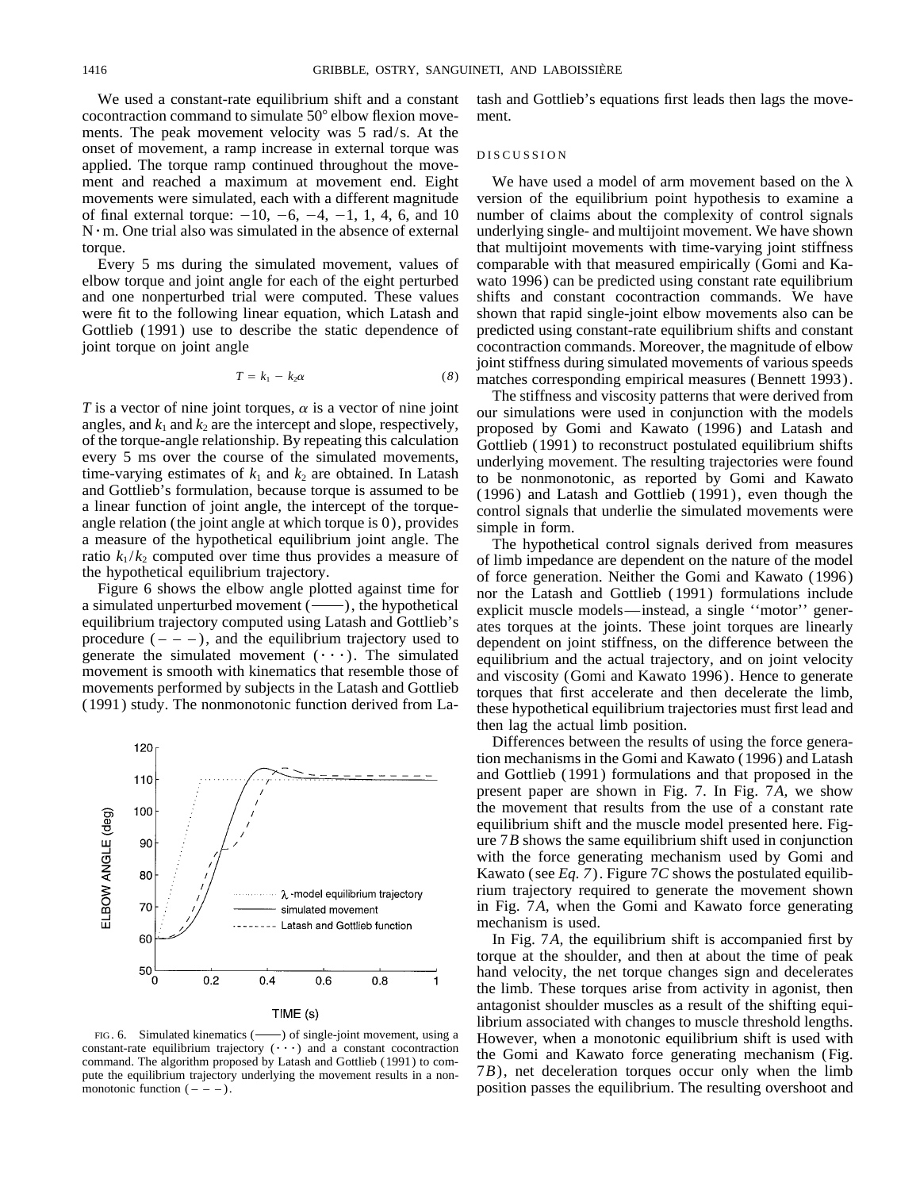cocontraction command to simulate 50° elbow flexion move- ment. ments. The peak movement velocity was 5 rad/s. At the onset of movement, a ramp increase in external torque was DISCUSSION applied. The torque ramp continued throughout the movement and reached a maximum at movement end. Eight We have used a model of arm movement based on the  $\lambda$ movements were simulated, each with a different magnitude version of the equilibrium point hypothesis to examine a of final external torque:  $-10$ ,  $-6$ ,  $-4$ ,  $-1$ , 1, 4, 6, and 10 number of claims about the complexity of control signals Nrm. One trial also was simulated in the absence of external underlying single- and multijoint movement. We have shown

elbow torque and joint angle for each of the eight perturbed wato 1996) can be predicted using constant rate equilibrium and one nonperturbed trial were computed. These values shifts and constant cocontraction commands. We have were fit to the following linear equation, which Latash and shown that rapid single-joint elbow movements also can be Gottlieb (1991) use to describe the static dependence of predicted using constant-rate equilibrium shifts and constant

$$
T = k_1 - k_2 \alpha \tag{8}
$$

T is a vector of nine joint torques,  $\alpha$  is a vector of nine joint<br>
The stiffness and viscosity patterns that were derived from<br>
angles, and  $k_i$  and  $k_j$  are the intercept and slope, respectively,<br>
proposed by Gomi and



We used a constant-rate equilibrium shift and a constant tash and Gottlieb's equations first leads then lags the move-

torque. that multijoint movements with time-varying joint stiffness Every 5 ms during the simulated movement, values of comparable with that measured empirically (Gomi and Kajoint torque on joint angle cocontraction commands. Moreover, the magnitude of elbow joint stiffness during simulated movements of various speeds matches corresponding empirical measures (Bennett 1993).

then lag the actual limb position.

Differences between the results of using the force generation mechanisms in the Gomi and Kawato (1996) and Latash and Gottlieb (1991) formulations and that proposed in the present paper are shown in Fig. 7. In Fig. 7*A,* we show the movement that results from the use of a constant rate equilibrium shift and the muscle model presented here. Figure 7*B* shows the same equilibrium shift used in conjunction with the force generating mechanism used by Gomi and Kawato (see *Eq. 7*). Figure 7*C* shows the postulated equilibrium trajectory required to generate the movement shown in Fig. 7*A,* when the Gomi and Kawato force generating mechanism is used.

In Fig. 7*A,* the equilibrium shift is accompanied first by torque at the shoulder, and then at about the time of peak hand velocity, the net torque changes sign and decelerates the limb. These torques arise from activity in agonist, then antagonist shoulder muscles as a result of the shifting equi- $FIG. 6. Simulated kinematics (—) of single-joint movement, using a  
constant-rate equilibrium trajectory (...) and a constant concentration  
command. The algorithm proposed by Latash and Gottlieb (1991) to com$ pute the equilibrium trajectory underlying the movement results in a non- $7B$ ), net deceleration torques occur only when the limb monotonic function  $(- - -)$ . position passes the equilibrium. The resulting overshoot and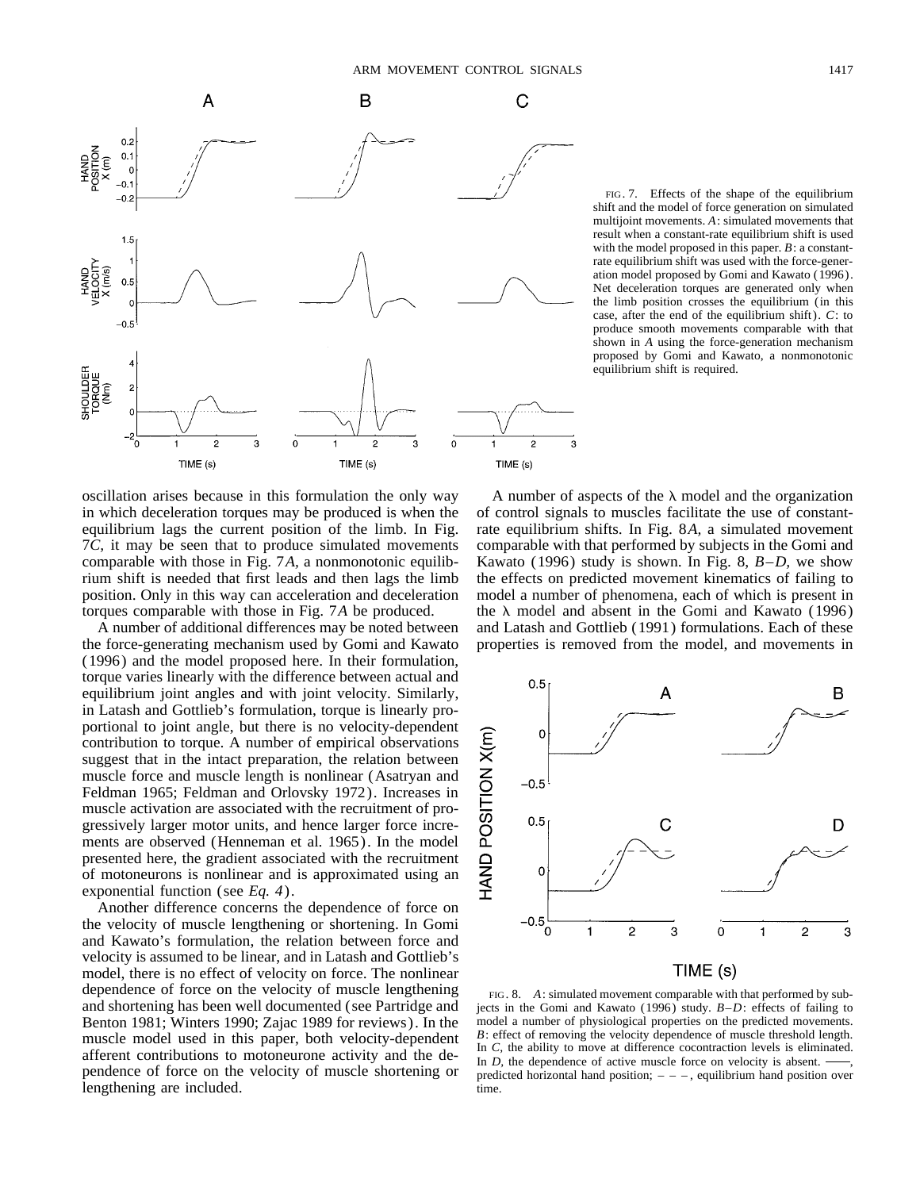

FIG. 7. Effects of the shape of the equilibrium shift and the model of force generation on simulated multijoint movements. *A*: simulated movements that result when a constant-rate equilibrium shift is used with the model proposed in this paper. *B*: a constantrate equilibrium shift was used with the force-generation model proposed by Gomi and Kawato (1996). Net deceleration torques are generated only when the limb position crosses the equilibrium (in this case, after the end of the equilibrium shift). *C*: to produce smooth movements comparable with that shown in *A* using the force-generation mechanism proposed by Gomi and Kawato, a nonmonotonic equilibrium shift is required.

oscillation arises because in this formulation the only way A number of aspects of the  $\lambda$  model and the organization in which deceleration torques may be produced is when the of control signals to muscles facilitate the use of constantequilibrium lags the current position of the limb. In Fig. rate equilibrium shifts. In Fig. 8*A,* a simulated movement 7*C,* it may be seen that to produce simulated movements comparable with that performed by subjects in the Gomi and comparable with those in Fig. 7*A,* a nonmonotonic equilib- Kawato (1996) study is shown. In Fig. 8, *B–D,* we show rium shift is needed that first leads and then lags the limb the effects on predicted movement kinematics of failing to position. Only in this way can acceleration and deceleration model a number of phenomena, each of which is present in

the force-generating mechanism used by Gomi and Kawato properties is removed from the model, and movements in (1996) and the model proposed here. In their formulation, torque varies linearly with the difference between actual and equilibrium joint angles and with joint velocity. Similarly, in Latash and Gottlieb's formulation, torque is linearly proportional to joint angle, but there is no velocity-dependent contribution to torque. A number of empirical observations suggest that in the intact preparation, the relation between muscle force and muscle length is nonlinear (Asatryan and Feldman 1965; Feldman and Orlovsky 1972). Increases in muscle activation are associated with the recruitment of progressively larger motor units, and hence larger force increments are observed (Henneman et al. 1965). In the model presented here, the gradient associated with the recruitment of motoneurons is nonlinear and is approximated using an exponential function (see *Eq. 4*).

Another difference concerns the dependence of force on the velocity of muscle lengthening or shortening. In Gomi and Kawato's formulation, the relation between force and velocity is assumed to be linear, and in Latash and Gottlieb's model, there is no effect of velocity on force. The nonlinear dependence of force on the velocity of muscle lengthening  $F_{\text{IG}}$ . 8. *A*: simulated movement comparable with that performed by sub-<br>and shortening has been well documented (see Partridge and jects in the Gomi and Kawat Benton 1981; Winters 1990; Zajac 1989 for reviews). In the model a number of physiological properties on the predicted movements.<br>muscle model used in this paper, both velocity-dependent  $B$ : effect of removing the veloci muscle model used in this paper, both velocity-dependent *B*: effect of removing the velocity dependence of muscle threshold length.<br>
In C, the ability to move at difference cocontraction levels is eliminated. afferent contributions to motoneurone activity and the de-<br>pendence of active muscle force on velocity is absent. ——,<br>pendence of force on the velocity of muscle shortening or<br>pedicted horizontal hand position; - - -, equ lengthening are included. time.

torques comparable with those in Fig. 7*A* be produced. the  $\lambda$  model and absent in the Gomi and Kawato (1996) A number of additional differences may be noted between and Latash and Gottlieb (1991) formulations. Each of these



jects in the Gomi and Kawato (1996) study. *B-D*: effects of failing to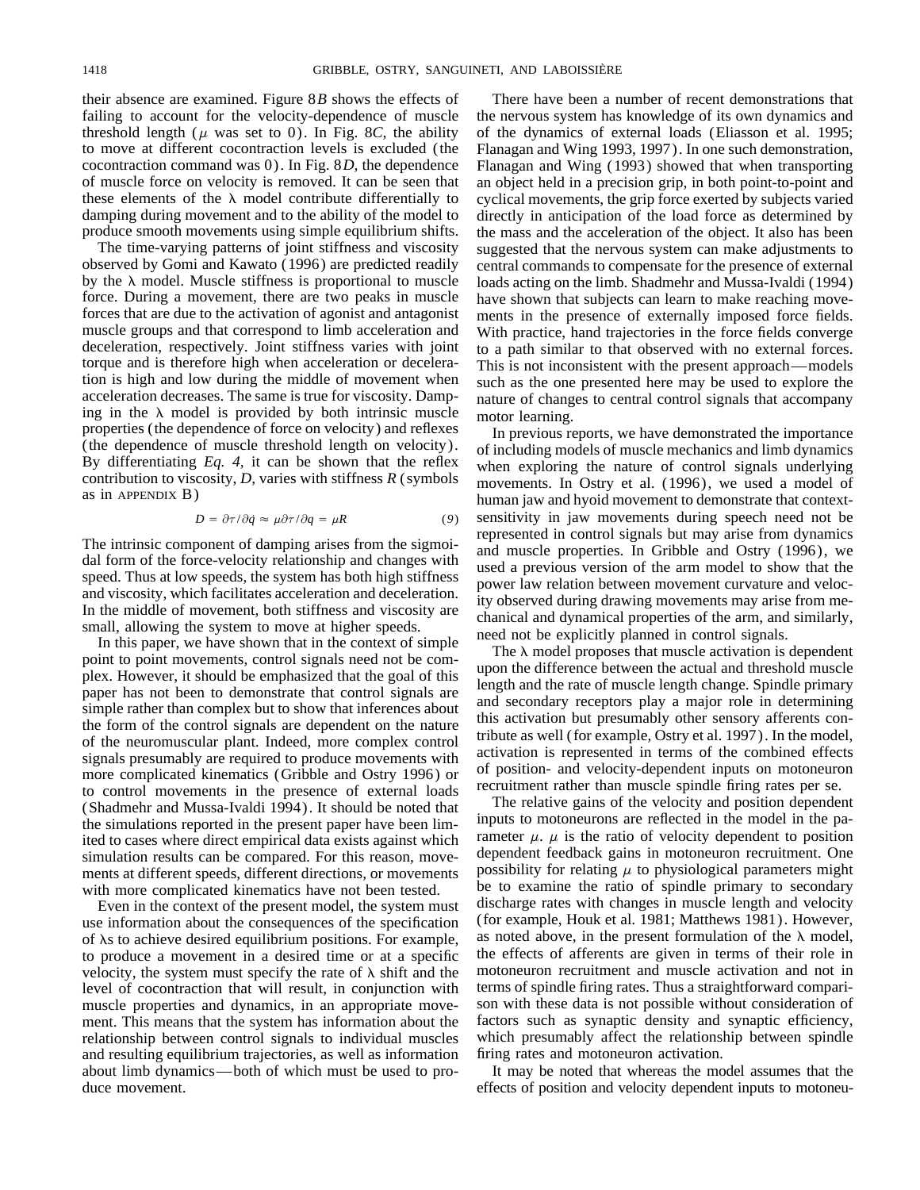their absence are examined. Figure 8*B* shows the effects of There have been a number of recent demonstrations that failing to account for the velocity-dependence of muscle the nervous system has knowledge of its own dynamics and threshold length ( $\mu$  was set to 0). In Fig. 8*C*, the ability of the dynamics of external loads (Eliasson et al. 1995; to move at different cocontraction levels is excluded (the Flanagan and Wing 1993, 1997). In one such demonstration, cocontraction command was 0). In Fig. 8*D,* the dependence Flanagan and Wing (1993) showed that when transporting of muscle force on velocity is removed. It can be seen that an object held in a precision grip, in both point-to-point and these elements of the  $\lambda$  model contribute differentially to cyclical movements, the grip force exerted by subjects varied damping during movement and to the ability of the model to directly in anticipation of the load force as determined by produce smooth movements using simple equilibrium shifts. the mass and the acceleration of the object. It also has been

observed by Gomi and Kawato (1996) are predicted readily central commands to compensate for the presence of external<br>by the  $\lambda$  model. Muscle stiffness is proportional to muscle loads acting on the limb. Shadmehr and Mus by the  $\lambda$  model. Muscle stiffness is proportional to muscle loads acting on the limb. Shadmehr and Mussa-Ivaldi (1994) force. During a movement, there are two peaks in muscle have shown that subjects can learn to make r forces that are due to the activation of agonist and antagonist ments in the presence of externally imposed force fields. muscle groups and that correspond to limb acceleration and With practice, hand trajectories in the force fields converge deceleration, respectively. Joint stiffness varies with joint to a path similar to that observed with no external forces.<br>torque and is therefore high when acceleration or decelera-<br>This is not inconsistent with the presen torque and is therefore high when acceleration or decelera-<br>tion is high and low during the middle of movement when<br>acceleration as the one presented here may be used to explore the<br>acceleration decreases. The same is tru

$$
D = \partial \tau / \partial \dot{q} \approx \mu \partial \tau / \partial q = \mu R \tag{9}
$$

The intrinsic component of damping arises from the sigmoinspurse the component of damping arises from the sigmoins dal form of the force-velocity relationship and changes with used a previous version. In Gribble and Ostry signals presumably are required to produce movements with<br>more complicated kinematics (Gribble and Ostry 1996) or<br>to control movements in the presence of external loads<br>recruitment rather than muscle spindle firing rates p to control movements in the presence of external loads<br>
(Shadmehr and Mussa-Ivaldi 1994). It should be noted that<br>
the simulations reported in the present paper have been lim-<br>
imputs to motoneurons are reflected in the m

Even in the context of the present model, the system must level of cocontraction that will result, in conjunction with and resulting equilibrium trajectories, as well as information firing rates and motoneuron activation. about limb dynamics—both of which must be used to pro- It may be noted that whereas the model assumes that the

The time-varying patterns of joint stiffness and viscosity suggested that the nervous system can make adjustments to have shown that subjects can learn to make reaching move-

*D* sensitivity in jaw movements during speech need not be

simulation results can be compared. For this reason, move-<br>ments at different speeds, different directions, or movements possibility for relating  $\mu$  to physiological parameters might<br>with more complicated kinematics hav with more complicated kinematics have not been tested. be to examine the ratio of spindle primary to secondary<br>Even in the context of the present model the system must discharge rates with changes in muscle length and velo use information about the consequences of the specification (for example, Houk et al. 1981; Matthews 1981). However, of  $\lambda$ s to achieve desired equilibrium positions. For example, as noted above, in the present formulation of the  $\lambda$  model, to produce a movement in a desired time or at a specific the effects of afferents are given in terms of their role in velocity, the system must specify the rate of  $\lambda$  shift and the motoneuron recruitment and muscle activation and not in level of cocontraction that will result, in conjunction with terms of spindle firing rates. Thus a s muscle properties and dynamics, in an appropriate move- son with these data is not possible without consideration of ment. This means that the system has information about the factors such as synaptic density and synaptic efficiency, relationship between control signals to individual muscles which presumably affect the relationship between spindle

duce movement. **Effects** of position and velocity dependent inputs to motoneu-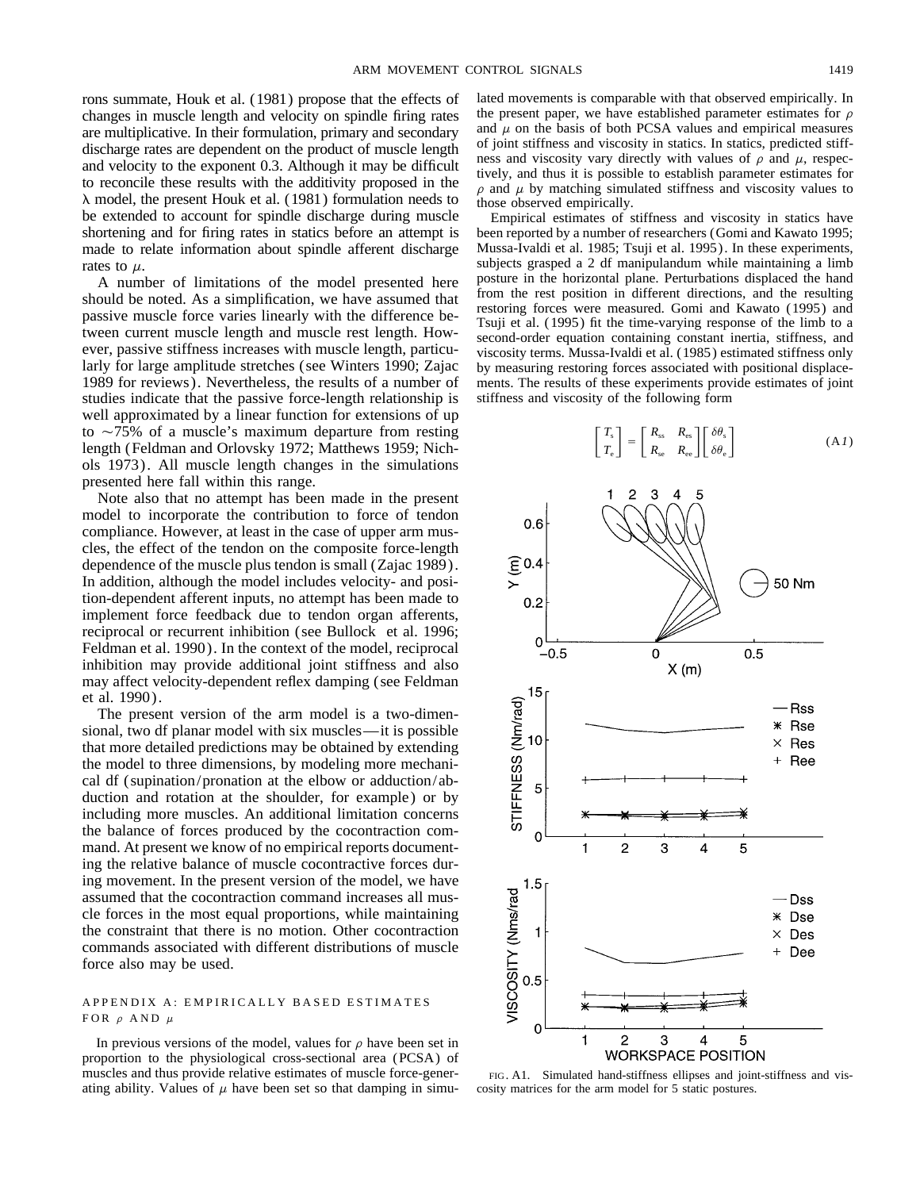rons summate, Houk et al. (1981) propose that the effects of lated movements is comparable with that observed empirically. In changes in muscle length and velocity on spindle firing rates the present paper, we have establ changes in muscle length and velocity on spindle firing rates the present paper, we have established parameter estimates for  $\rho$  are multiplicative. In their formulation primary and secondary and  $\mu$  on the basis of bot are multiplicative. In their formulation, primary and secondary<br>discharge rates are dependent on the product of muscle length<br>and  $\mu$  on the basis of both PCSA values and empirical measures<br>discharge rates are dependent shortening and for firing rates in statics before an attempt is been reported by a number of researchers (Gomi and Kawato 1995; made to relate information about spindle afferent discharge Mussa-Ivaldi et al. 1985; Tsuji et al. 1995). In these experiments, rates to  $\mu$ . Subjects grasped a 2 df manipulandum while maintaining a limb

1989 for reviews). Nevertheless, the results of a number of ments. The results of these experiments provide estimates of joint studies indicate that the passive force-length relationship is stiffness and viscosity of the f studies indicate that the passive force-length relationship is well approximated by a linear function for extensions of up to ~75% of a muscle's maximum departure from resting  $\begin{bmatrix} T_s \end{bmatrix} = \begin{bmatrix} R_{ss} & R_{es} \end{bmatrix} \begin{bmatrix} \delta \theta_s \end{bmatrix}$  (A<sub>1</sub>) length (Feldman and Orlovsky 1972; Matthews 1959; Nichols 1973). All muscle length changes in the simulations presented here fall within this range.

Note also that no attempt has been made in the present model to incorporate the contribution to force of tendon compliance. However, at least in the case of upper arm muscles, the effect of the tendon on the composite force-length dependence of the muscle plus tendon is small (Zajac 1989). In addition, although the model includes velocity- and position-dependent afferent inputs, no attempt has been made to implement force feedback due to tendon organ afferents, reciprocal or recurrent inhibition (see Bullock et al. 1996; Feldman et al. 1990). In the context of the model, reciprocal inhibition may provide additional joint stiffness and also may affect velocity-dependent reflex damping (see Feldman et al. 1990).

The present version of the arm model is a two-dimensional, two df planar model with six muscles—it is possible that more detailed predictions may be obtained by extending the model to three dimensions, by modeling more mechanical df (supination/pronation at the elbow or adduction/abduction and rotation at the shoulder, for example) or by including more muscles. An additional limitation concerns the balance of forces produced by the cocontraction command. At present we know of no empirical reports documenting the relative balance of muscle cocontractive forces during movement. In the present version of the model, we have assumed that the cocontraction command increases all muscle forces in the most equal proportions, while maintaining the constraint that there is no motion. Other cocontraction commands associated with different distributions of muscle force also may be used.

### APPENDIX A: EMPIRICALLY BASED ESTIMATES FOR  $\rho$  AND  $\mu$

In previous versions of the model, values for  $\rho$  have been set in proportion to the physiological cross-sectional area (PCSA) of muscles and thus provide relative estimates of muscle force-gener- FIG. A1. Simulated hand-stiffness ellipses and joint-stiffness and visating ability. Values of  $\mu$  have been set so that damping in simu- cosity matrices for the arm model for 5 static postures.

A number of limitations of the model presented here posture in the horizontal plane. Perturbations displaced the hand<br>culd be noted As a simplification we have assumed that from the rest position in different directions, a From the rest position in different directions, and the resulting<br>passive muscle force varies linearly with the difference be-<br>tween current muscle length and muscle rest length. How-<br>ever, passive stiffness increases with

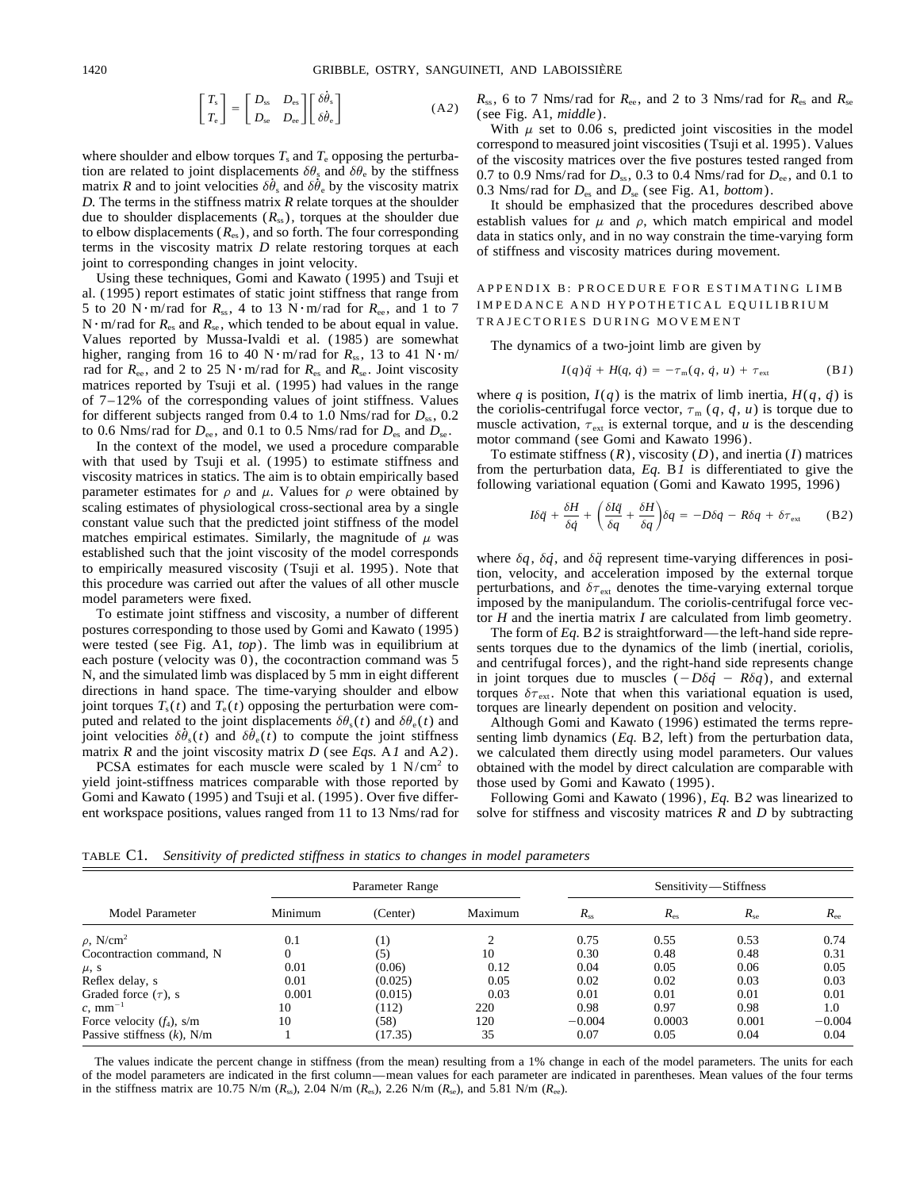$$
\begin{bmatrix} T_{\rm s} \\ T_{\rm e} \end{bmatrix} = \begin{bmatrix} D_{\rm ss} & D_{\rm es} \\ D_{\rm se} & D_{\rm ee} \end{bmatrix} \begin{bmatrix} \delta \dot{\theta}_{\rm s} \\ \delta \dot{\theta}_{\rm e} \end{bmatrix}
$$
 (A2)

matrix R and to joint velocities  $\delta \theta_s$  and  $\delta \theta_e$  by the viscosity matrix<br>
D. The terms in the stiffness matrix R relate torques at the shoulder<br>
due to shoulder displacements (R<sub>ss</sub>), torques at the shoulder due<br>
to e

Using these techniques, Gomi and Kawato (1995) and Tsuji et<br>al. (1995) report estimates of static joint stiffness that range from APPENDIX B: PROCEDURE FOR ESTIMATING LIMB<br>5 to 20 N·m/rad for  $R = 4$  to 13 N·m/rad for  $R =$ 5 to 20 N·m/rad for  $R_{ss}$ , 4 to 13 N·m/rad for  $R_{ee}$ , and 1 to 7 IMPEDANCE AND HYPOTHETICAL EQUILIBRIUM steps of  $R_{ss}$ , and  $R_{ss}$  which tended to be about equal in value TRAJECTORIES DURING MOVEMENT  $N \cdot m/r$  ad for  $R_{\text{es}}$  and  $R_{\text{se}}$ , which tended to be about equal in value. Values reported by Mussa-Ivaldi et al. (1985) are somewhat The dynamics of a two-joint limb are given by higher, ranging from 16 to 40 N·m/rad for  $R_{ss}$ , 13 to 41 N·m/ rad for  $R_{ee}$ , and 2 to 25 N·m/rad for  $R_{es}$  and  $R_{se}$ . Joint viscosity matrices reported by Tsuji et al. (1995) had values in the range where *q* is position,  $I(q)$  is the matrix of limb inertia,  $H(q, q)$  is of 7-12% of the corresponding values of joint stiffness. Values  $\frac{1}{2}$  of 7–12% of the corresponding values of joint stiffness. Values where q is position,  $I(q)$  is the matrix of limb inertia,  $H(q, \dot{q})$  is for different subjects ranged from 0.4 to 1.0 Nms/rad for D, 0.2 the coriol

For different subjects ranged from 0.4 to 1.0 Nms/rad for  $D_{ss}$ , 0.2<br>to 0.6 Nms/rad for  $D_{ee}$ , and 0.1 to 0.5 Nms/rad for  $D_{ss}$ , 0.2<br>In the context of the model, we used a procedure comparable<br>with that used by Tsuji e scaling estimates of physiological cross-sectional area by a single<br>
constant value such that the predicted joint stiffness of the model<br>  $I\delta \ddot{q} + \frac{\delta H}{\delta q} + \left(\frac{\delta I\ddot{q}}{\delta q} + \frac{\delta H}{\delta q}\right)\delta q = -D\delta \dot{q} - R\delta q + \delta \tau_{ext}$  (B2) matches empirical estimates. Similarly, the magnitude of  $\mu$  was established such that the joint viscosity of the model corresponds where  $\delta q$ ,  $\delta \dot{q}$ , and  $\delta \ddot{q}$  represent time-varying differences in position empirically measured viscosity (Tsuji et al. 1995). Note that tion v

established such that the joint viscosity of the model corresponds<br>to empirically measured viscosity (Tsuji et al. 1995). Note that<br>this procedure was carried out after the values of all other muscle<br>model parameters were directions in hand space. The time-varying shoulder and elbow torques  $\delta \tau_{\text{ext}}$ . Note that when this variational equation is used, joint torques  $T_s(t)$  and  $T_e(t)$  opposing the perturbation were com-<br>torques are linearl joint torques  $T_s(t)$  and  $T_e(t)$  opposing the perturbation were computed and related to the joint displacements  $\delta\theta_s(t)$  and  $\delta\theta_e(t)$  and puted and related to the joint displacements  $\delta\theta_s(t)$  and  $\delta\theta_e(t)$  and Although Gomi and Kawato (1996) estimated the terms repre-<br>joint velocities  $\delta\dot{\theta}_s(t)$  and  $\delta\dot{\theta}_e(t)$  to compute the joint stiffness senting lim

yield joint-stiffness matrices comparable with those reported by those used by Gomi and Kawato (1995). Gomi and Kawato (1995) and Tsuji et al. (1995). Over five differ- Following Gomi and Kawato (1996), *Eq.* B*2* was linearized to

 $\begin{bmatrix} T_s \\ T_e \end{bmatrix} = \begin{bmatrix} D_{ss} & D_{es} \\ D_{se} & D_{ee} \end{bmatrix} \begin{bmatrix} \delta \dot{\theta}_s \\ \delta \dot{\theta}_e \end{bmatrix}$  (A2)  $\begin{array}{c} R_{ss}$ , 6 to 7 Nms/rad for  $R_{ee}$ , and 2 to 3 Nms/rad for  $R_{es}$  and  $R_{se}$  (see Fig. A1, *middle*).

With  $\mu$  set to 0.06 s, predicted joint viscosities in the model where shoulder and elbow torques  $T_s$  and  $T_e$  opposing the perturba-<br>tion are related to joint displacements  $\delta\theta_s$  and  $\delta\theta_e$  by the stiffness<br>matrix R and to joint velocities  $\delta\theta_s$  and  $\delta\theta_e$  by the viscosity matr

$$
T(q)\ddot{q} + H(q, \dot{q}) = -\tau_{\rm m}(q, \dot{q}, u) + \tau_{\rm ext}
$$
 (B1)

muscle activation,  $\tau_{ext}$  is external torque, and u is the descending

$$
I\delta \ddot{q} + \frac{\delta H}{\delta q} + \left(\frac{\delta I \ddot{q}}{\delta q} + \frac{\delta H}{\delta q}\right) \delta q = -D\delta \dot{q} - R\delta q + \delta \tau_{\text{ext}} \qquad (B2)
$$

in joint torques due to muscles  $(-D\delta \dot{q} - R\delta q)$ , and external

joint velocities  $\delta\theta_s(t)$  and  $\delta\theta_e(t)$  to compute the joint stiffness senting limb dynamics (*Eq.* B2, left) from the perturbation data, matrix *R* and the joint viscosity matrix *D* (see *Eqs.* A *I* and A2). we calcul we calculated them directly using model parameters. Our values PCSA estimates for each muscle were scaled by  $1 \text{ N/cm}^2$  to obtained with the model by direct calculation are comparable with

ent workspace positions, values ranged from 11 to 13 Nms/rad for solve for stiffness and viscosity matrices *R* and *D* by subtracting

TABLE C1. *Sensitivity of predicted stiffness in statics to changes in model parameters*

| Model Parameter               | Parameter Range |          |         | Sensitivity—Stiffness |              |          |          |
|-------------------------------|-----------------|----------|---------|-----------------------|--------------|----------|----------|
|                               | Minimum         | (Center) | Maximum | $R_{\rm sc}$          | $R_{\rm es}$ | $R_{se}$ | $R_{ee}$ |
| $\rho$ , N/cm <sup>2</sup>    | 0.1             | (1)      |         | 0.75                  | 0.55         | 0.53     | 0.74     |
| Cocontraction command. N      | 0               | (5)      | 10      | 0.30                  | 0.48         | 0.48     | 0.31     |
| $\mu$ , s                     | 0.01            | (0.06)   | 0.12    | 0.04                  | 0.05         | 0.06     | 0.05     |
| Reflex delay, s               | 0.01            | (0.025)  | 0.05    | 0.02                  | 0.02         | 0.03     | 0.03     |
| Graded force $(\tau)$ , s     | 0.001           | (0.015)  | 0.03    | 0.01                  | 0.01         | 0.01     | 0.01     |
| $c, \text{mm}^{-1}$           | 10              | (112)    | 220     | 0.98                  | 0.97         | 0.98     | 1.0      |
| Force velocity $(f_4)$ , s/m  | 10              | (58)     | 120     | $-0.004$              | 0.0003       | 0.001    | $-0.004$ |
| Passive stiffness $(k)$ , N/m |                 | (17.35)  | 35      | 0.07                  | 0.05         | 0.04     | 0.04     |

The values indicate the percent change in stiffness (from the mean) resulting from a 1% change in each of the model parameters. The units for each of the model parameters are indicated in the first column—mean values for each parameter are indicated in parentheses. Mean values of the four terms in the stiffness matrix are 10.75 N/m (*R*ss), 2.04 N/m (*R*es), 2.26 N/m (*R*se), and 5.81 N/m (*R*ee).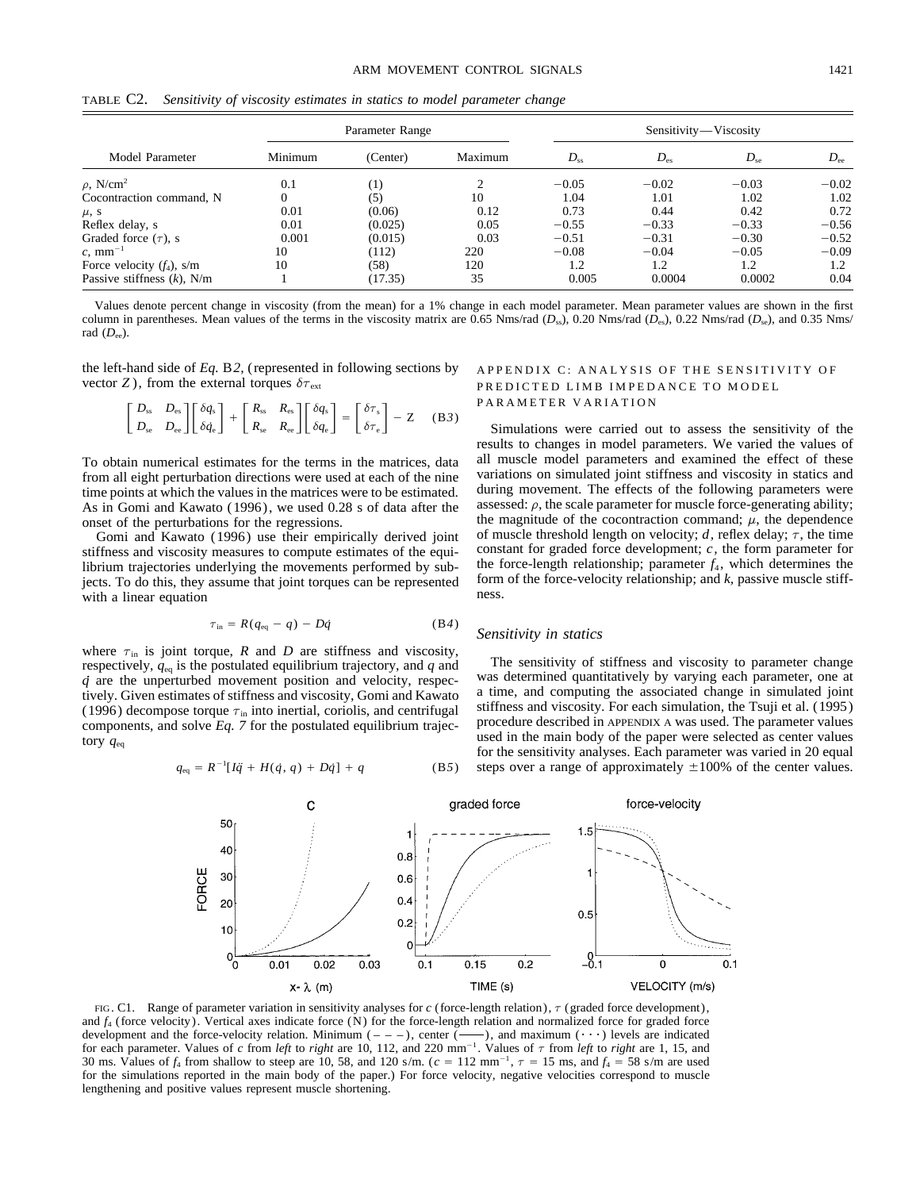| Model Parameter               | Parameter Range |                  |         | Sensitivity—Viscosity |              |          |          |
|-------------------------------|-----------------|------------------|---------|-----------------------|--------------|----------|----------|
|                               | Minimum         | (Center)         | Maximum | $D_{ss}$              | $D_{\rm es}$ | $D_{se}$ | $D_{ee}$ |
| $\rho$ , N/cm <sup>2</sup>    | 0.1             | $\left(1\right)$ |         | $-0.05$               | $-0.02$      | $-0.03$  | $-0.02$  |
| Cocontraction command, N      |                 | (5)              | 10      | 1.04                  | 1.01         | 1.02     | 1.02     |
| $\mu$ , s                     | 0.01            | (0.06)           | 0.12    | 0.73                  | 0.44         | 0.42     | 0.72     |
| Reflex delay, s               | 0.01            | (0.025)          | 0.05    | $-0.55$               | $-0.33$      | $-0.33$  | $-0.56$  |
| Graded force $(\tau)$ , s     | 0.001           | (0.015)          | 0.03    | $-0.51$               | $-0.31$      | $-0.30$  | $-0.52$  |
| c, $mm^{-1}$                  | 10              | (112)            | 220     | $-0.08$               | $-0.04$      | $-0.05$  | $-0.09$  |
| Force velocity $(f_4)$ , s/m  | 10              | (58)             | 120     | 1.2                   | 1.2          | 1.2      | 1.2      |
| Passive stiffness $(k)$ , N/m |                 | (17.35)          | 35      | 0.005                 | 0.0004       | 0.0002   | 0.04     |

TABLE C2. *Sensitivity of viscosity estimates in statics to model parameter change*

Values denote percent change in viscosity (from the mean) for a 1% change in each model parameter. Mean parameter values are shown in the first column in parentheses. Mean values of the terms in the viscosity matrix are 0.65 Nms/rad  $(D_{ss})$ , 0.20 Nms/rad  $(D_{es})$ , 0.22 Nms/rad  $(D_{sc})$ , and 0.35 Nms/ rad  $(D_{ee})$ .

the left-hand side of *Eq.* B*2,* (represented in following sections by APPENDIX C: ANALYSIS OF THE SENSITIVITY OF vector *Z*), from the external torques  $\delta \tau_{ext}$  PREDICTED LIMB IMPEDANCE TO MODEL

$$
\begin{bmatrix} D_{\rm ss} & D_{\rm es} \\ D_{\rm se} & D_{\rm ee} \end{bmatrix} \begin{bmatrix} \delta \dot{q}_{\rm s} \\ \delta \dot{q}_{\rm e} \end{bmatrix} + \begin{bmatrix} R_{\rm ss} & R_{\rm es} \\ R_{\rm se} & R_{\rm ee} \end{bmatrix} \begin{bmatrix} \delta q_{\rm s} \\ \delta q_{\rm e} \end{bmatrix} = \begin{bmatrix} \delta \tau_{\rm s} \\ \delta \tau_{\rm e} \end{bmatrix} - Z \quad (B3)
$$

from all eight perturbation directions were used at each of the nine variations on simulated joint stiffness and viscosity in statics and<br>time points at which the values in the matrices were to be estimated during movement time points at which the values in the matrices were to be estimated. As in Gomi and Kawato (1996), we used 0.28 s of data after the assessed:  $\rho$ , the scale parameter for muscle force-generating ability; onset of the perturbations for the regressions. the magnitude of the cocontraction command;  $\mu$ , the dependence

stiffness and viscosity measures to compute estimates of the equi-<br>librium trajectories underlying the movements performed by sub-<br>jects. To do this, they assume that joint torques can be represented<br>with a linear equatio with a linear equation

$$
\tau_{\text{in}} = R(q_{\text{eq}} - q) - D\dot{q} \tag{B4}
$$

where  $\tau_{in}$  is joint torque, *R* and *D* are stiffness and viscosity,<br>respectively,  $q_{eq}$  is the postulated equilibrium trajectory, and *q* and The sensitivity of stiffness and viscosity to parameter change

$$
q_{\text{eq}} = R^{-1}[I\ddot{q} + H(\dot{q}, q) + D\dot{q}] + q \tag{B5}
$$

# PARAMETER VARIATION

Simulations were carried out to assess the sensitivity of the results to changes in model parameters. We varied the values of To obtain numerical estimates for the terms in the matrices, data all muscle model parameters and examined the effect of these from all eight perturbation directions were used at each of the nine variations on simulated jo Gomi and Kawato (1996) use their empirically derived joint of muscle threshold length on velocity; *d*, reflex delay;  $\tau$ , the time effiness and viscosity measures to compute estimates of the equi-<br>free development; *c*,

## $Sensitivity$  *in statics*

 $\dot{q}$  are the unperturbed movement position and velocity, respectively and determined quantitatively by varying each parameter, one at  $\dot{q}$  are the unperturbed movement position and velocity, respectively come at  $\dot$ *i* are the unperturbed movement position and velocity, respectively was determined quantitatively by varying each parameter, one at tively. Given estimates of stiffness and viscosity, Gomi and Kawato a time, and computin *q* steps over a range of approximately  $\pm 100\%$  of the center values.



FIG. C1. Range of parameter variation in sensitivity analyses for  $c$  (force-length relation),  $\tau$  (graded force development), and  $f_4$  (force velocity). Vertical axes indicate force (N) for the force-length relation and normalized force for graded force development and the force-velocity relation. Minimum  $(- - -)$ , center  $($ —), and maximum  $( \cdots)$  levels are indicated for each parameter. Values of c from *left* to *right* are 10, 112, and 220 mm<sup>-1</sup>. Values of  $\tau$  from *left* to *right* are 1, 15, and 30 ms. Values of  $f_4$  from shallow to steep are 10, 58, and 120 s/m. ( $c = 112$  mm<sup>-1</sup>,  $\tau = 15$  ms, and  $f_4 = 58$  s/m are used for the simulations reported in the main body of the paper.) For force velocity, negative velocities correspond to muscle lengthening and positive values represent muscle shortening.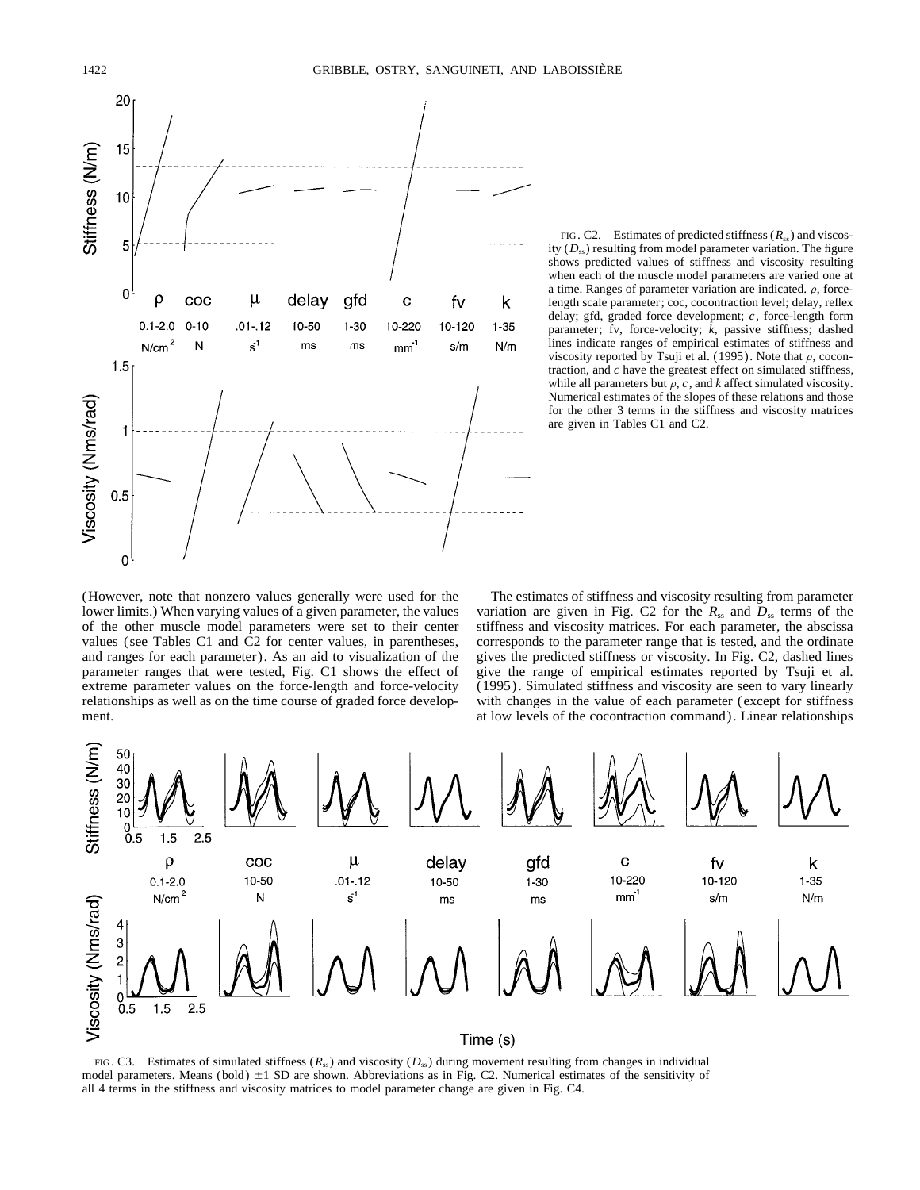

FIG. C2. Estimates of predicted stiffness  $(R_{ss})$  and viscosity ( $D_{ss}$ ) resulting from model parameter variation. The figure shows predicted values of stiffness and viscosity resulting when each of the muscle model parameters are varied one at a time. Ranges of parameter variation are indicated.  $\rho$ , forcelength scale parameter; coc, cocontraction level; delay, reflex delay; gfd, graded force development; *c,* force-length form parameter; fv, force-velocity; *k,* passive stiffness; dashed lines indicate ranges of empirical estimates of stiffness and viscosity reported by Tsuji et al. (1995). Note that  $\rho$ , cocontraction, and *c* have the greatest effect on simulated stiffness, while all parameters but  $\rho$ ,  $c$ , and  $k$  affect simulated viscosity. Numerical estimates of the slopes of these relations and those for the other 3 terms in the stiffness and viscosity matrices are given in Tables C1 and C2.

of the other muscle model parameters were set to their center ment. at low levels of the cocontraction command). Linear relationships

(However, note that nonzero values generally were used for the The estimates of stiffness and viscosity resulting from parameter lower limits.) When varying values of a given parameter, the values variation are given in Fig. C2 for the *R<sub>ss</sub>* and  $D_{ss}$  terms of the of the other muscle model parameters were set to their center stiffness and viscosi values (see Tables C1 and C2 for center values, in parentheses, corresponds to the parameter range that is tested, and the ordinate and ranges for each parameter). As an aid to visualization of the gives the predicted stiffness or viscosity. In Fig. C2, dashed lines parameter ranges that were tested, Fig. C1 shows the effect of give the range of empirical estimates reported by Tsuji et al. extreme parameter values on the force-length and force-velocity (1995). Simulated stiffness and viscosity are seen to vary linearly relationships as well as on the time course of graded force develop- with changes in the value of each parameter (except for stiffness



FIG. C3. Estimates of simulated stiffness  $(R_{ss})$  and viscosity  $(D_{ss})$  during movement resulting from changes in individual model parameters. Means (bold)  $\pm 1$  SD are shown. Abbreviations as in Fig. C2. Numerical estimates of the sensitivity of all 4 terms in the stiffness and viscosity matrices to model parameter change are given in Fig. C4.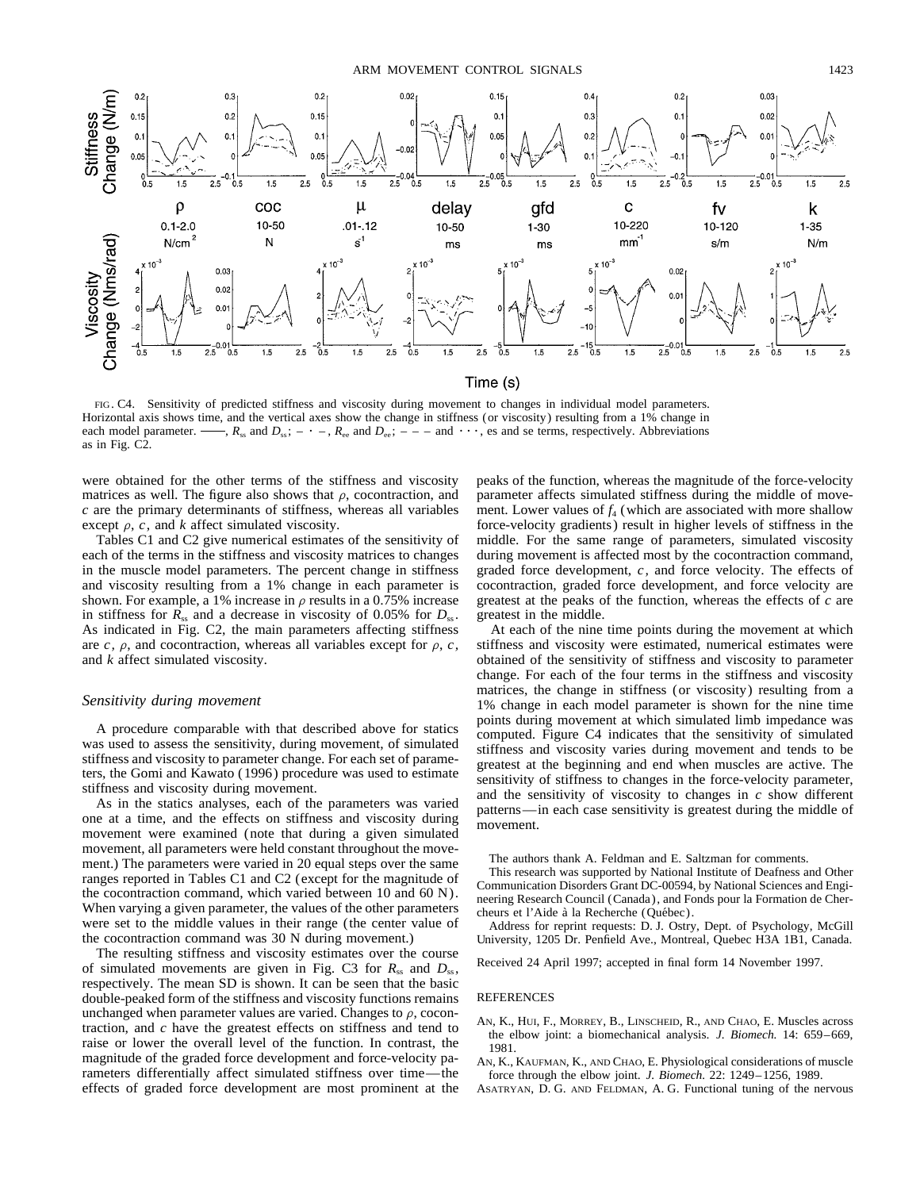



FIG. C4. Sensitivity of predicted stiffness and viscosity during movement to changes in individual model parameters. Horizontal axis shows time, and the vertical axes show the change in stiffness (or viscosity) resulting from a 1% change in each model parameter.  $\frac{R_s}{s}$  and  $D_{ss}$ ;  $- \cdot -$ ,  $R_{ee}$  and  $D_{ee}$ ;  $- \cdot -$  and  $\cdot \cdot \cdot$ , es and se terms, respectively. Abbreviations as in Fig. C2.

were obtained for the other terms of the stiffness and viscosity peaks of the function, whereas the magnitude of the force-velocity

each of the terms in the stiffness and viscosity matrices to changes during movement is affected most by the cocontraction command, shown. For example, a 1% increase in  $\rho$  results in a 0.75% increase greatest at the peaks of the function, whereas the effects of *c* are in stiffness for  $R_s$ , and a decrease in viscosity of 0.05% for  $D_s$ . greatest in in stiffness for  $R_{ss}$  and a decrease in viscosity of 0.05% for  $D_{ss}$ . greatest in the middle.<br>As indicated in Fig. C2, the main parameters affecting stiffness At each of the nine time points during the movement at whic As indicated in Fig. C2, the main parameters affecting stiffness are  $c$ ,  $\rho$ , and cocontraction, whereas all variables except for  $\rho$ ,  $c$ , stiffness and viscosity were estimated, numerical estimates were and *k* affect simulated viscosity. **obtained** of the sensitivity of stiffness and viscosity to parameter

movement, all parameters were held constant throughout the move-<br>ment.) The parameters were varied in 20 equal steps over the same<br>ranges reported in Tables C1 and C2 (except for the magnitude of<br>the cocontraction command,

The resulting stiffness and viscosity estimates over the course<br>of simulated movements are given in Fig. C3 for *R<sub>ss</sub>* and *D<sub>ss</sub>*, Received 24 April 1997; accepted in final form 14 November 1997. respectively. The mean SD is shown. It can be seen that the basic double-peaked form of the stiffness and viscosity functions remains REFERENCES unchanged when parameter values are varied. Changes to  $\rho$ , cocontraction, and c have the greatest effects on stiffness and tend to<br>ration, and c have the greatest effects on stiffness and tend to<br>raise or lower the over magnitude of the graded force development and force-velocity paradicles with K., KAUFMAN, K., AND CHAO, E. Physiological considerations of muscle rameters differentially affect simulated stiffness over time—the force throu effects of graded force development are most prominent at the ASATRYAN, D. G. AND FELDMAN, A. G. Functional tuning of the nervous

matrices as well. The figure also shows that  $\rho$ , cocontraction, and parameter affects simulated stiffness during the middle of move*c* are the primary determinants of stiffness, whereas all variables ment. Lower values of  $f_4$  (which are associated with more shallow except  $\rho$ , *c*, and *k* affect simulated viscosity. **c** of stiffness in the force-velocity gradients) result in higher levels of stiffness in the Tables C1 and C2 give numerical estimates of the sensitivity of middle. For the same range of parameters, simulated viscosity in the muscle model parameters. The percent change in stiffness graded force development, *c,* and force velocity. The effects of and viscosity resulting from a 1% change in each parameter is cocontraction, graded force development, and force velocity are

change. For each of the four terms in the stiffness and viscosity matrices, the change in stiffness (or viscosity) resulting from a *Sensitivity during movement* 1% change in each model parameter is shown for the nine time A procedure comparable with that described above for statics<br>was used to assess the sensitivity, during movement, of simulated<br>stiffness and viscosity to parameter change. For each set of parame-<br>ters, the Gomi and Kawato

the cocontraction command was 30 N during movement.) University, 1205 Dr. Penfield Ave., Montreal, Quebec H3A 1B1, Canada.

- 
- 
-